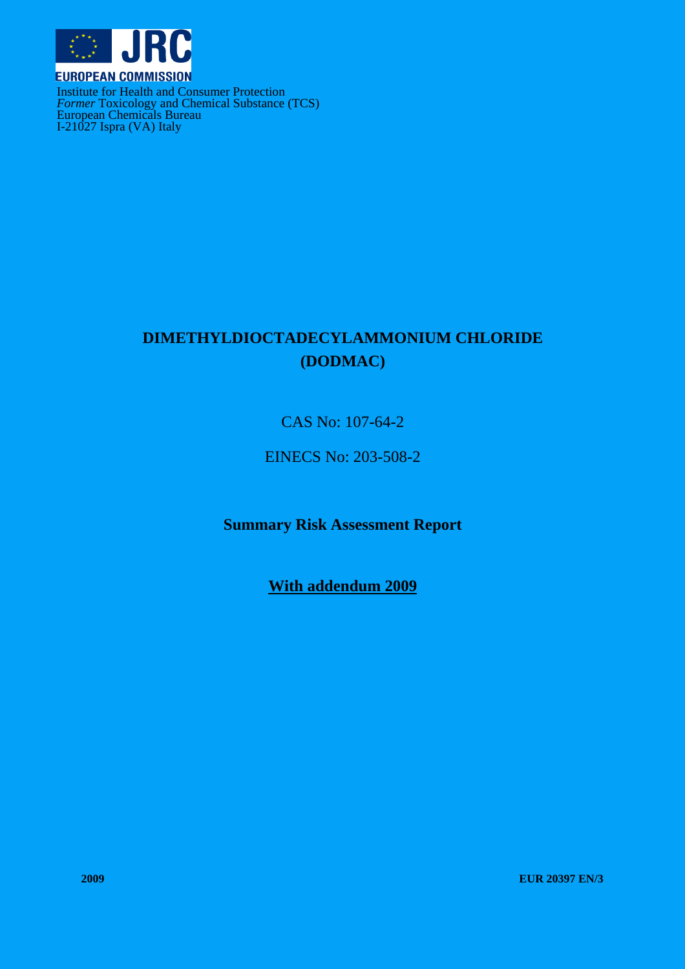

Institute for Health and Consumer Protection *Former* Toxicology and Chemical Substance (TCS) European Chemicals Bureau I-21027 Ispra (VA) Italy

# **DIMETHYLDIOCTADECYLAMMONIUM CHLORIDE (DODMAC)**

CAS No: 107-64-2

EINECS No: 203-508-2

**Summary Risk Assessment Report** 

**With addendum 2009**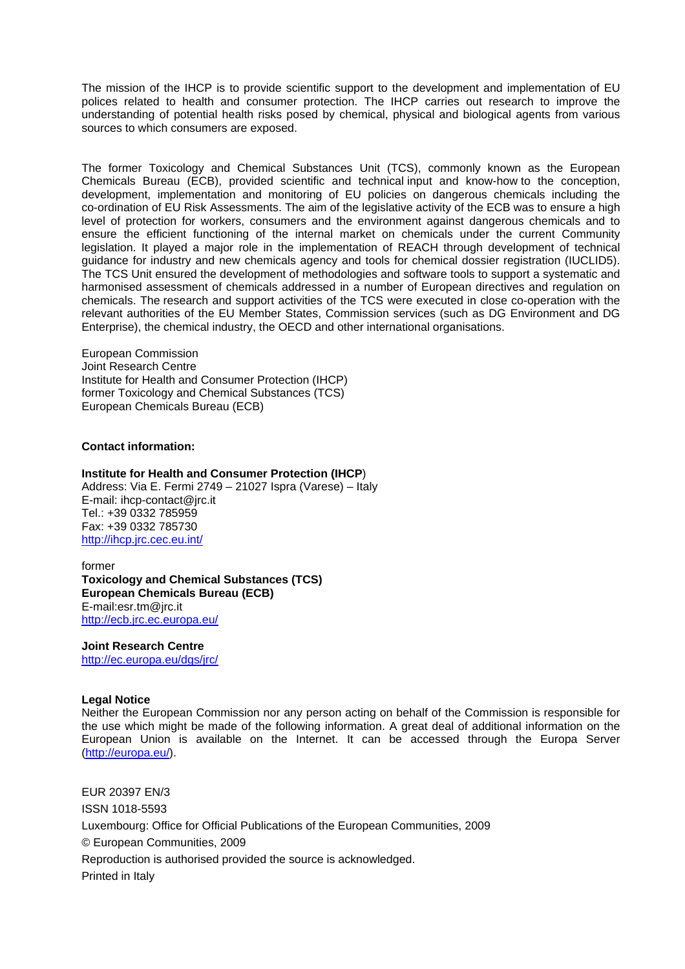The mission of the IHCP is to provide scientific support to the development and implementation of EU polices related to health and consumer protection. The IHCP carries out research to improve the understanding of potential health risks posed by chemical, physical and biological agents from various sources to which consumers are exposed.

The former Toxicology and Chemical Substances Unit (TCS), commonly known as the European Chemicals Bureau (ECB), provided scientific and technical input and know-how to the conception, development, implementation and monitoring of EU policies on dangerous chemicals including the co-ordination of EU Risk Assessments. The aim of the legislative activity of the ECB was to ensure a high level of protection for workers, consumers and the environment against dangerous chemicals and to ensure the efficient functioning of the internal market on chemicals under the current Community legislation. It played a major role in the implementation of REACH through development of technical guidance for industry and new chemicals agency and tools for chemical dossier registration (IUCLID5). The TCS Unit ensured the development of methodologies and software tools to support a systematic and harmonised assessment of chemicals addressed in a number of European directives and regulation on chemicals. The research and support activities of the TCS were executed in close co-operation with the relevant authorities of the EU Member States, Commission services (such as DG Environment and DG Enterprise), the chemical industry, the OECD and other international organisations.

European Commission Joint Research Centre Institute for Health and Consumer Protection (IHCP) former Toxicology and Chemical Substances (TCS) European Chemicals Bureau (ECB)

#### **Contact information:**

#### **Institute for Health and Consumer Protection (IHCP**)

Address: Via E. Fermi 2749 – 21027 Ispra (Varese) – Italy E-mail: ihcp-contact@jrc.it Tel.: +39 0332 785959 Fax: +39 0332 785730 <http://ihcp.jrc.cec.eu.int/>

former **Toxicology and Chemical Substances (TCS) European Chemicals Bureau (ECB)**  E-mail:esr.tm@jrc.it <http://ecb.jrc.ec.europa.eu/>

#### **Joint Research Centre**

<http://ec.europa.eu/dgs/jrc/>

#### **Legal Notice**

Neither the European Commission nor any person acting on behalf of the Commission is responsible for the use which might be made of the following information. A great deal of additional information on the European Union is available on the Internet. It can be accessed through the Europa Server [\(http://europa.eu/\)](http://europa.eu/).

EUR 20397 EN/3 ISSN 1018-5593 Luxembourg: Office for Official Publications of the European Communities, 2009 © European Communities, 2009 Reproduction is authorised provided the source is acknowledged. Printed in Italy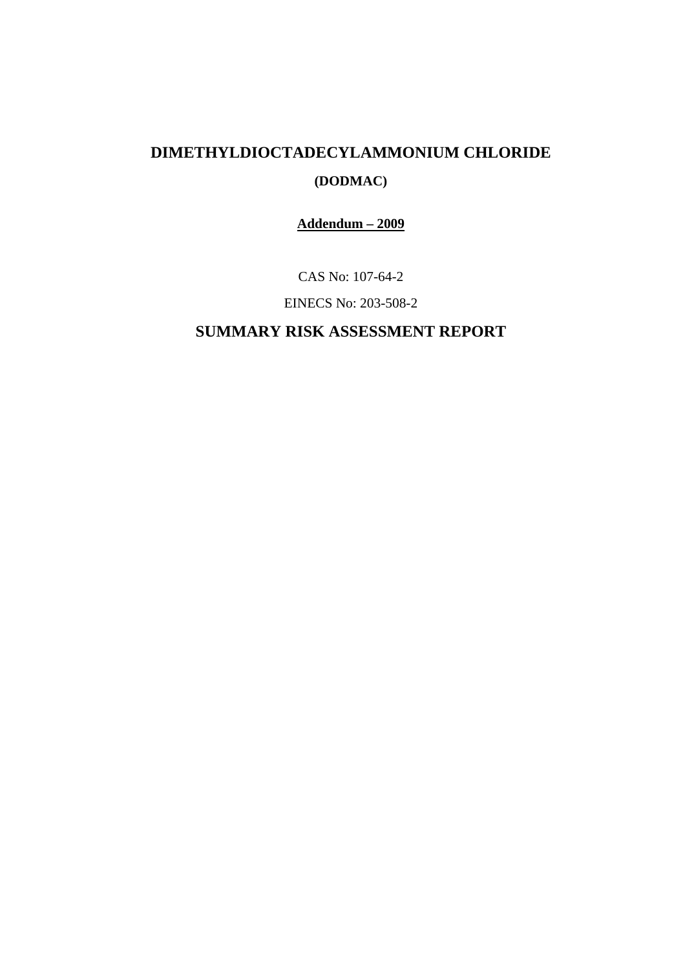# **DIMETHYLDIOCTADECYLAMMONIUM CHLORIDE**

# **(DODMAC)**

**Addendum – 2009**

CAS No: 107-64-2

EINECS No: 203-508-2

# **SUMMARY RISK ASSESSMENT REPORT**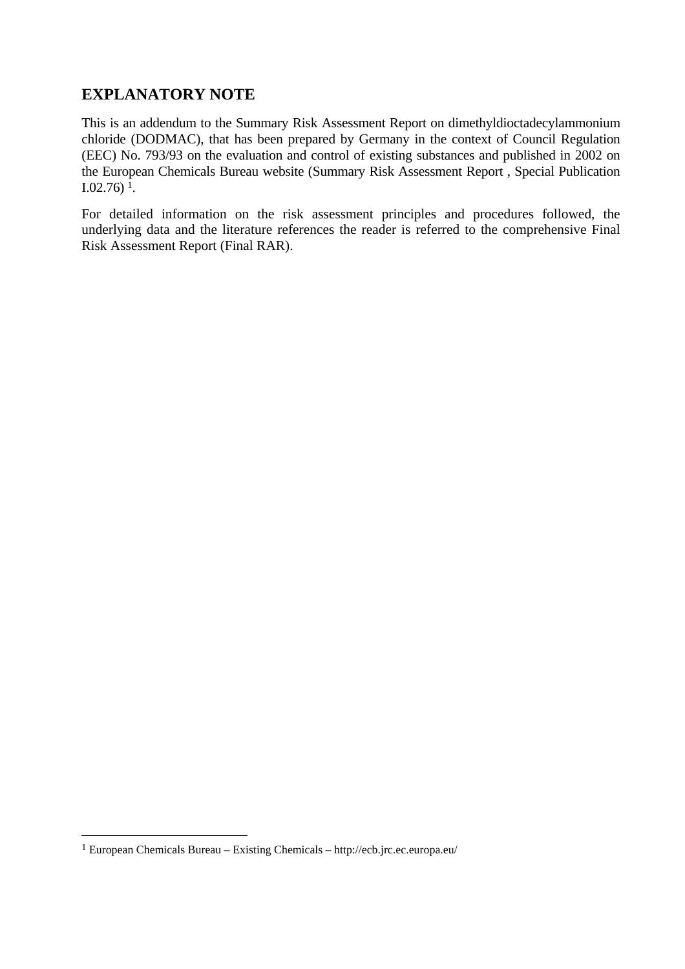### **EXPLANATORY NOTE**

This is an addendum to the Summary Risk Assessment Report on dimethyldioctadecylammonium chloride (DODMAC), that has been prepared by Germany in the context of Council Regulation (EEC) No. 793/93 on the evaluation and control of existing substances and published in 2002 on the European Chemicals Bureau website (Summary Risk Assessment Report , Special Publication I.02.76) 1.

For detailed information on the risk assessment principles and procedures followed, the underlying data and the literature references the reader is referred to the comprehensive Final Risk Assessment Report (Final RAR).

 $\overline{a}$ 

[<sup>1</sup> European Chemicals Bureau – Existing Chemicals – http://ecb.jrc.ec.europa.eu/](http://ecb.jrc.ec.europa.eu/)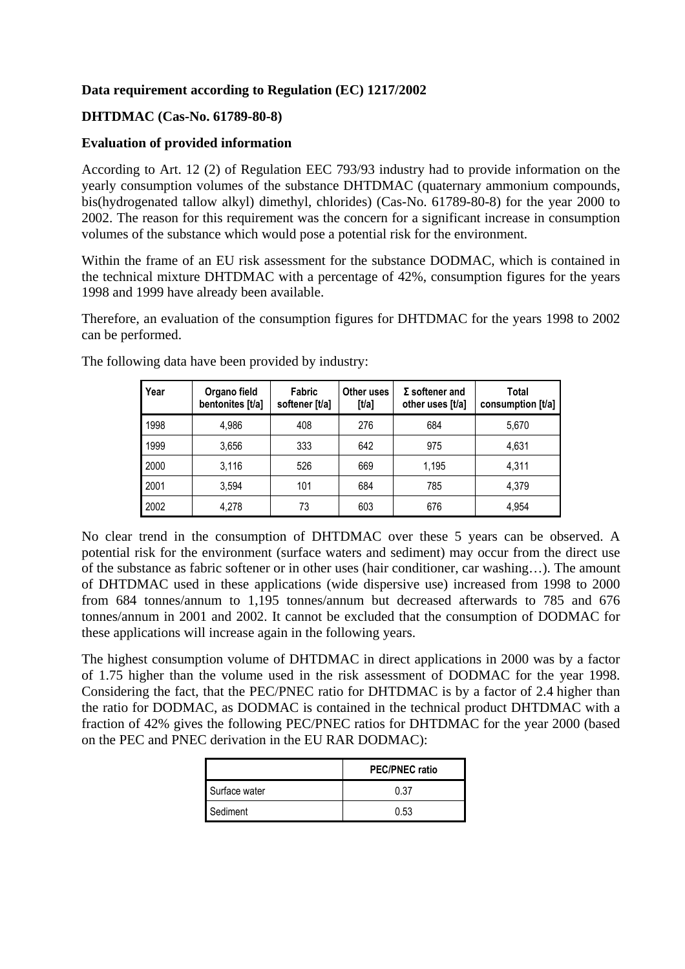#### **Data requirement according to Regulation (EC) 1217/2002**

#### **DHTDMAC (Cas-No. 61789-80-8)**

#### **Evaluation of provided information**

According to Art. 12 (2) of Regulation EEC 793/93 industry had to provide information on the yearly consumption volumes of the substance DHTDMAC (quaternary ammonium compounds, bis(hydrogenated tallow alkyl) dimethyl, chlorides) (Cas-No. 61789-80-8) for the year 2000 to 2002. The reason for this requirement was the concern for a significant increase in consumption volumes of the substance which would pose a potential risk for the environment.

Within the frame of an EU risk assessment for the substance DODMAC, which is contained in the technical mixture DHTDMAC with a percentage of 42%, consumption figures for the years 1998 and 1999 have already been available.

Therefore, an evaluation of the consumption figures for DHTDMAC for the years 1998 to 2002 can be performed.

| Year | Organo field<br>bentonites [t/a] | Fabric<br>softener [t/a] | Other uses<br>[t/a] | $\Sigma$ softener and<br>other uses [t/a] | Total<br>consumption $[t/a]$ |
|------|----------------------------------|--------------------------|---------------------|-------------------------------------------|------------------------------|
| 1998 | 4,986                            | 408                      | 276                 | 684                                       | 5.670                        |
| 1999 | 3,656                            | 333                      | 642                 | 975                                       | 4,631                        |
| 2000 | 3.116                            | 526                      | 669                 | 1.195                                     | 4.311                        |
| 2001 | 3,594                            | 101                      | 684                 | 785                                       | 4.379                        |
| 2002 | 4,278                            | 73                       | 603                 | 676                                       | 4.954                        |

The following data have been provided by industry:

No clear trend in the consumption of DHTDMAC over these 5 years can be observed. A potential risk for the environment (surface waters and sediment) may occur from the direct use of the substance as fabric softener or in other uses (hair conditioner, car washing…). The amount of DHTDMAC used in these applications (wide dispersive use) increased from 1998 to 2000 from 684 tonnes/annum to 1,195 tonnes/annum but decreased afterwards to 785 and 676 tonnes/annum in 2001 and 2002. It cannot be excluded that the consumption of DODMAC for these applications will increase again in the following years.

The highest consumption volume of DHTDMAC in direct applications in 2000 was by a factor of 1.75 higher than the volume used in the risk assessment of DODMAC for the year 1998. Considering the fact, that the PEC/PNEC ratio for DHTDMAC is by a factor of 2.4 higher than the ratio for DODMAC, as DODMAC is contained in the technical product DHTDMAC with a fraction of 42% gives the following PEC/PNEC ratios for DHTDMAC for the year 2000 (based on the PEC and PNEC derivation in the EU RAR DODMAC):

|               | <b>PEC/PNEC ratio</b> |
|---------------|-----------------------|
| Surface water | በ 37                  |
| Sediment      | 0.53                  |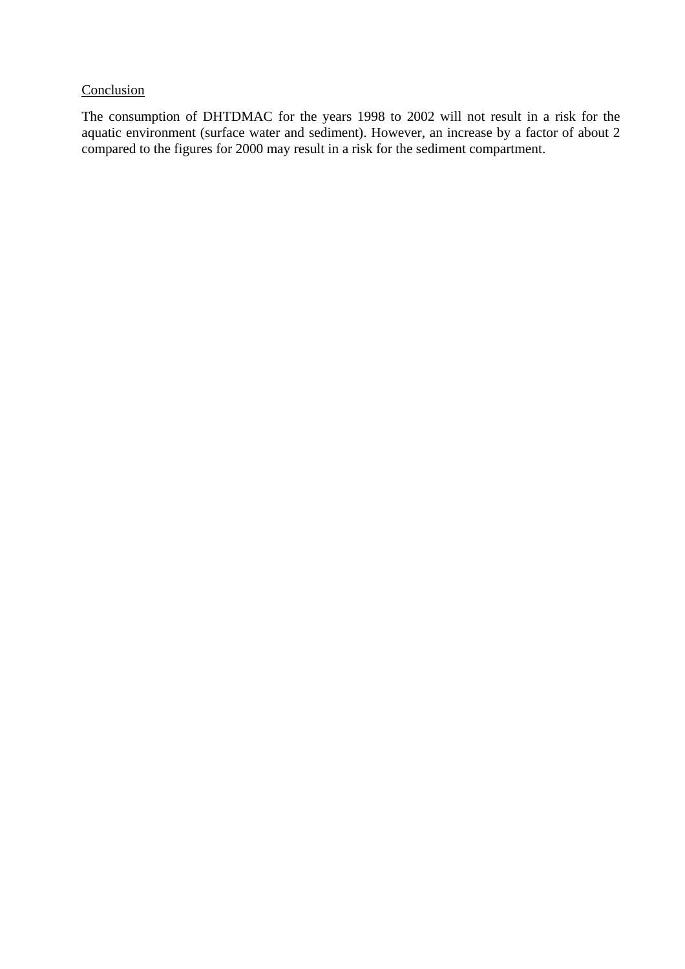### **Conclusion**

The consumption of DHTDMAC for the years 1998 to 2002 will not result in a risk for the aquatic environment (surface water and sediment). However, an increase by a factor of about 2 compared to the figures for 2000 may result in a risk for the sediment compartment.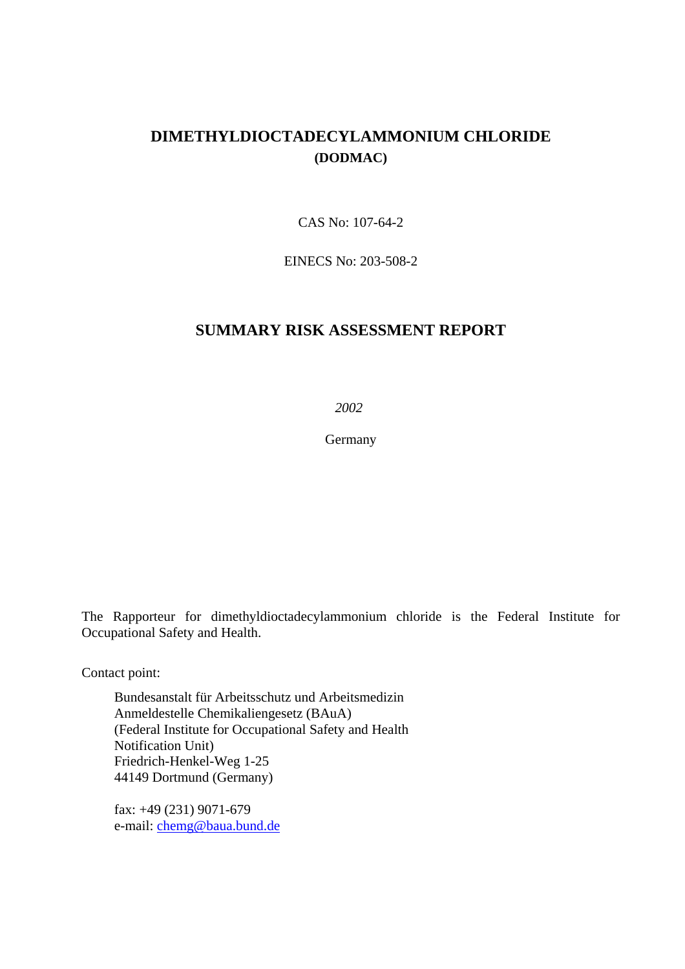### **DIMETHYLDIOCTADECYLAMMONIUM CHLORIDE (DODMAC)**

CAS No: 107-64-2

EINECS No: 203-508-2

#### **SUMMARY RISK ASSESSMENT REPORT**

*2002* 

Germany

The Rapporteur for dimethyldioctadecylammonium chloride is the Federal Institute for Occupational Safety and Health.

Contact point:

Bundesanstalt für Arbeitsschutz und Arbeitsmedizin Anmeldestelle Chemikaliengesetz (BAuA) (Federal Institute for Occupational Safety and Health Notification Unit) Friedrich-Henkel-Weg 1-25 44149 Dortmund (Germany)

fax: +49 (231) 9071-679 e-mail[: chemg@baua.bund.de](mailto:amst@baua.do.shuttle.de)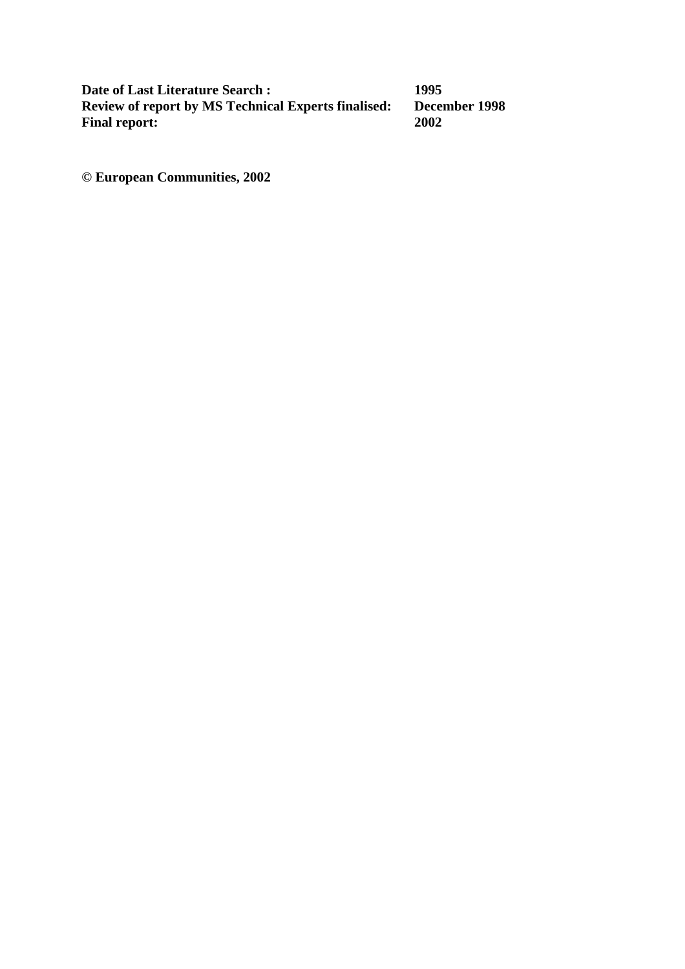**Date of Last Literature Search : 1995<br>Review of report by MS Technical Experts finalised: December 1998 Review of report by MS Technical Experts finalised:** December 1998 **December 1998 Final report:** 

**© European Communities, 2002**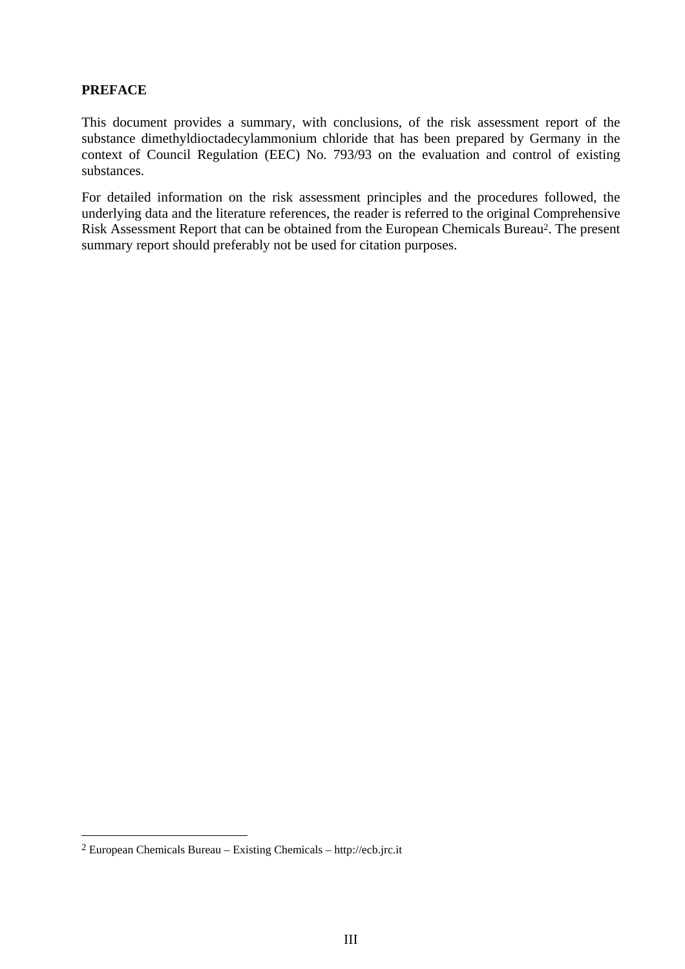#### **PREFACE**

This document provides a summary, with conclusions, of the risk assessment report of the substance dimethyldioctadecylammonium chloride that has been prepared by Germany in the context of Council Regulation (EEC) No. 793/93 on the evaluation and control of existing substances.

For detailed information on the risk assessment principles and the procedures followed, the underlying data and the literature references, the reader is referred to the original Comprehensive Risk Assessment Report that can be obtained from the European Chemicals Bureau<sup>2</sup>. The present summary report should preferably not be used for citation purposes.

 $\overline{a}$ 

<sup>2</sup> European Chemicals Bureau – Existing Chemicals – http://ecb.jrc.it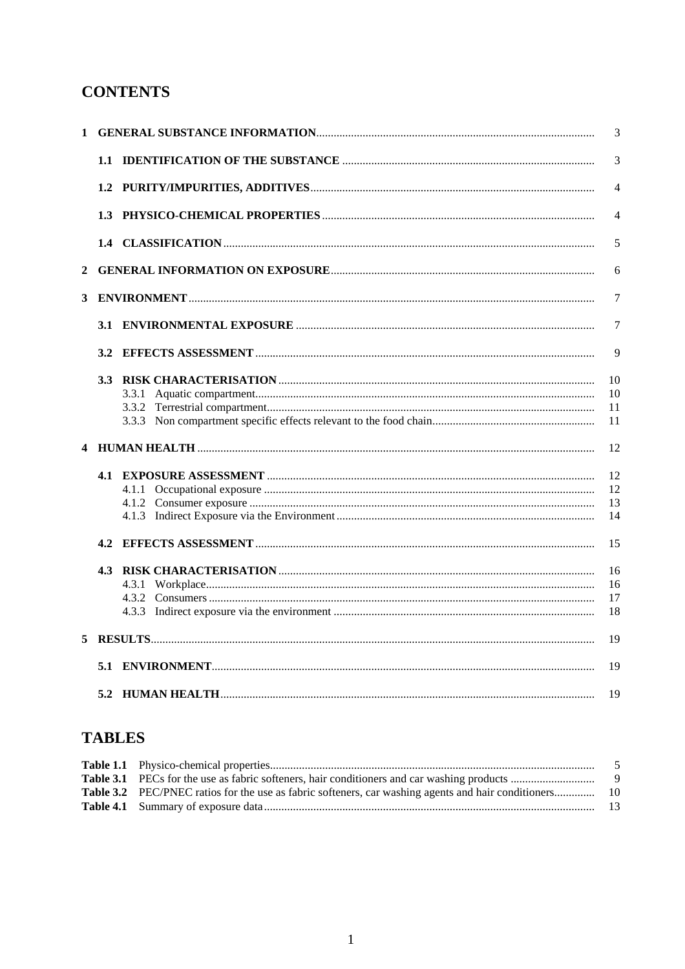# **CONTENTS**

|   |     | $\overline{3}$       |
|---|-----|----------------------|
|   |     | 3                    |
|   |     | $\overline{4}$       |
|   |     | $\overline{4}$       |
|   |     | 5                    |
| 2 |     | 6                    |
| 3 |     | $\overline{7}$       |
|   |     | $\overline{7}$       |
|   |     | 9                    |
|   |     | 10<br>10<br>11<br>11 |
|   |     | 12                   |
|   |     | 12<br>12<br>13<br>14 |
|   | 4.2 | 15                   |
|   |     | 16<br>16<br>17<br>18 |
| 5 |     | 19                   |
|   |     | 19                   |
|   |     | 19                   |

# **TABLES**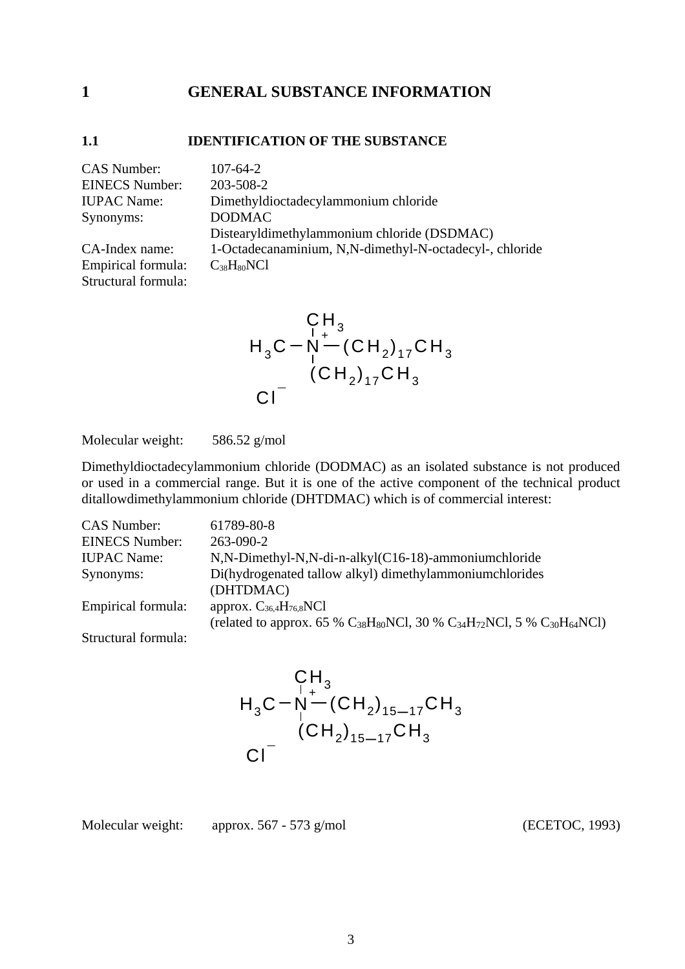### <span id="page-13-0"></span>**1 GENERAL SUBSTANCE INFORMATION**

#### <span id="page-13-1"></span>**1.1 IDENTIFICATION OF THE SUBSTANCE**

| <b>CAS</b> Number:    | $107 - 64 - 2$                                          |
|-----------------------|---------------------------------------------------------|
| <b>EINECS Number:</b> | 203-508-2                                               |
| <b>IUPAC</b> Name:    | Dimethyldioctadecylammonium chloride                    |
| Synonyms:             | <b>DODMAC</b>                                           |
|                       | Distearyldimethylammonium chloride (DSDMAC)             |
| CA-Index name:        | 1-Octadecanaminium, N,N-dimethyl-N-octadecyl-, chloride |
| Empirical formula:    | $C_{38}H_{80}NCl$                                       |
| Structural formula:   |                                                         |

$$
\begin{array}{c}\n\mathsf{C} \mathsf{H}_3 \\
\mathsf{H}_3 \mathsf{C} - \mathsf{N}^{-1} - (\mathsf{C} \mathsf{H}_2)_{17} \mathsf{C} \mathsf{H}_3 \\
\vdots \\
\mathsf{C} \mathsf{I}^{-1} \\
\mathsf{C} \mathsf{I}^{-1} \\
\mathsf{I}^{-1} \\
\mathsf{I}^{-1} \\
\mathsf{I}^{-1} \\
\mathsf{I}^{-1} \\
\mathsf{I}^{-1} \\
\mathsf{I}^{-1} \\
\mathsf{I}^{-1} \\
\mathsf{I}^{-1} \\
\mathsf{I}^{-1} \\
\mathsf{I}^{-1} \\
\mathsf{I}^{-1} \\
\mathsf{I}^{-1} \\
\mathsf{I}^{-1} \\
\mathsf{I}^{-1} \\
\mathsf{I}^{-1} \\
\mathsf{I}^{-1} \\
\mathsf{I}^{-1} \\
\mathsf{I}^{-1} \\
\mathsf{I}^{-1} \\
\mathsf{I}^{-1} \\
\mathsf{I}^{-1} \\
\mathsf{I}^{-1} \\
\mathsf{I}^{-1} \\
\mathsf{I}^{-1} \\
\mathsf{I}^{-1} \\
\mathsf{I}^{-1} \\
\mathsf{I}^{-1} \\
\mathsf{I}^{-1} \\
\mathsf{I}^{-1} \\
\mathsf{I}^{-1} \\
\mathsf{I}^{-1} \\
\mathsf{I}^{-1} \\
\mathsf{I}^{-1} \\
\mathsf{I}^{-1} \\
\mathsf{I}^{-1} \\
\mathsf{I}^{-1} \\
\mathsf{I}^{-1} \\
\mathsf{I}^{-1} \\
\mathsf{I}^{-1} \\
\mathsf{I}^{-1} \\
\mathsf{I}^{-1} \\
\mathsf{I}^{-1} \\
\mathsf{I}^{-1} \\
\mathsf{I}^{-1} \\
\mathsf{I}^{-1} \\
\mathsf{I}^{-1} \\
\mathsf{I}^{-1} \\
\mathsf{I}^{-1} \\
\mathsf{I}^{-1} \\
\mathsf{I}^{-1} \\
\mathsf{I}^{-1} \\
\mathsf{I}^{-1} \\
\mathsf{I}^{-1} \\
\mathsf{I}^{-1} \\
\mathsf{I}^{-1} \\
\mathsf{I}^{-1} \\
\mathsf{I}^{-1} \\
\mathsf{I}^{-1} \\
\mathsf{I}^{-1} \\
\mathsf{I}^{-1} \\
\mathsf{I}^{-1} \\
\mathsf{I}^{-1} \\
\mathsf{I}^{-1} \\
\mathsf{I}^{-1} \\
\mathsf{I}
$$

Molecular weight: 586.52 g/mol

Dimethyldioctadecylammonium chloride (DODMAC) as an isolated substance is not produced or used in a commercial range. But it is one of the active component of the technical product ditallowdimethylammonium chloride (DHTDMAC) which is of commercial interest:

| <b>CAS Number:</b>    | 61789-80-8                                                                                                                     |
|-----------------------|--------------------------------------------------------------------------------------------------------------------------------|
| <b>EINECS Number:</b> | $263 - 090 - 2$                                                                                                                |
| <b>IUPAC</b> Name:    | N,N-Dimethyl-N,N-di-n-alkyl(C16-18)-ammoniumchloride                                                                           |
| Synonyms:             | Di(hydrogenated tallow alkyl) dimethylammoniumchlorides<br>(DHTDMAC)                                                           |
| Empirical formula:    | approx. $C_{36,4}H_{76,8}NC1$<br>(related to approx. 65 % $C_{38}H_{80}NCl$ , 30 % $C_{34}H_{72}NCl$ , 5 % $C_{30}H_{64}NCl$ ) |
| Structural formula:   |                                                                                                                                |

$$
\begin{array}{c}\n\mathsf{CH}_3 \\
\mathsf{H}_3\mathsf{C} - \mathsf{N}^{-1} \\
\vdots \\
\mathsf{CH}_2\n\end{array}
$$
\n
$$
\begin{array}{c}\n\mathsf{CH}_2 \\
\mathsf{CH}_3 \\
\mathsf{Cl}^-\n\end{array}
$$

Molecular weight: approx. 567 - 573 g/mol (ECETOC, 1993)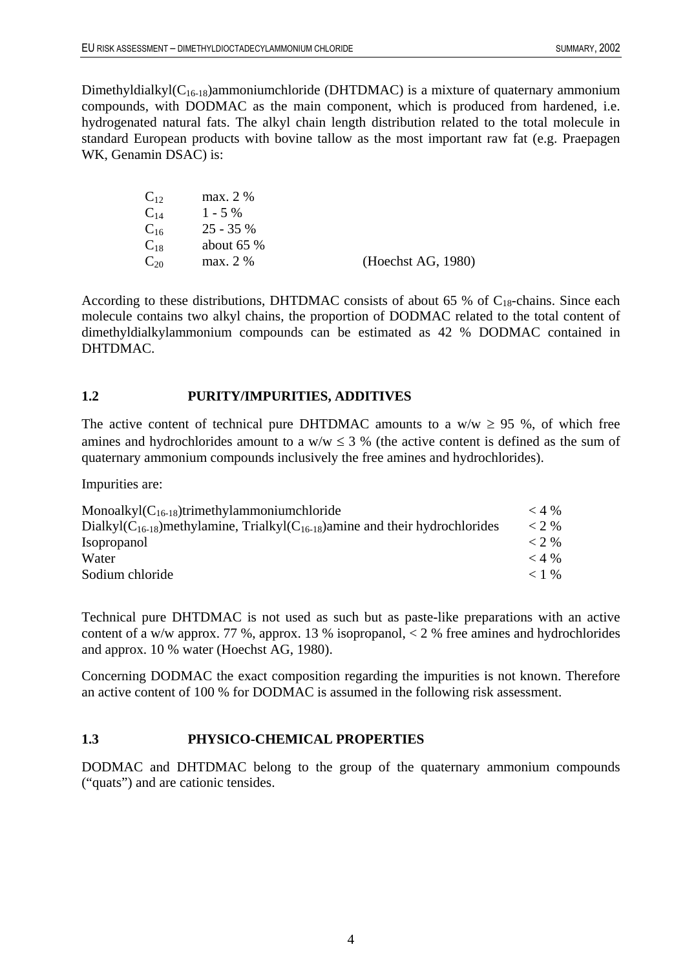Dimethyldialkyl $(C_{16-18})$ ammoniumchloride (DHTDMAC) is a mixture of quaternary ammonium compounds, with DODMAC as the main component, which is produced from hardened, i.e. hydrogenated natural fats. The alkyl chain length distribution related to the total molecule in standard European products with bovine tallow as the most important raw fat (e.g. Praepagen WK, Genamin DSAC) is:

| $\mathrm{C}_{12}$ | max. 2 %    |                    |
|-------------------|-------------|--------------------|
| $\mathrm{C_{14}}$ | $1 - 5\%$   |                    |
| $\mathrm{C_{16}}$ | $25 - 35%$  |                    |
| $\mathrm{C}_{18}$ | about $65%$ |                    |
| $\mathrm{C}_{20}$ | max. 2 %    | (Heechst AG, 1980) |

According to these distributions, DHTDMAC consists of about 65 % of  $C_{18}$ -chains. Since each molecule contains two alkyl chains, the proportion of DODMAC related to the total content of dimethyldialkylammonium compounds can be estimated as 42 % DODMAC contained in DHTDMAC.

#### <span id="page-14-0"></span>**1.2 PURITY/IMPURITIES, ADDITIVES**

The active content of technical pure DHTDMAC amounts to a w/w  $\geq$  95 %, of which free amines and hydrochlorides amount to a  $w/w \le 3$  % (the active content is defined as the sum of quaternary ammonium compounds inclusively the free amines and hydrochlorides).

Impurities are:

| Monoalkyl $(C_{16-18})$ trimethylammoniumchloride                                        | $<$ 4 % |
|------------------------------------------------------------------------------------------|---------|
| Dialkyl $(C_{16-18})$ methylamine, Trialkyl $(C_{16-18})$ amine and their hydrochlorides | $<$ 2 % |
| <i>Isopropanol</i>                                                                       | $<$ 2 % |
| Water                                                                                    | $<$ 4 % |
| Sodium chloride                                                                          | $< 1$ % |

Technical pure DHTDMAC is not used as such but as paste-like preparations with an active content of a w/w approx. 77 %, approx. 13 % isopropanol, < 2 % free amines and hydrochlorides and approx. 10 % water (Hoechst AG, 1980).

Concerning DODMAC the exact composition regarding the impurities is not known. Therefore an active content of 100 % for DODMAC is assumed in the following risk assessment.

#### <span id="page-14-1"></span>**1.3 PHYSICO-CHEMICAL PROPERTIES**

DODMAC and DHTDMAC belong to the group of the quaternary ammonium compounds ("quats") and are cationic tensides.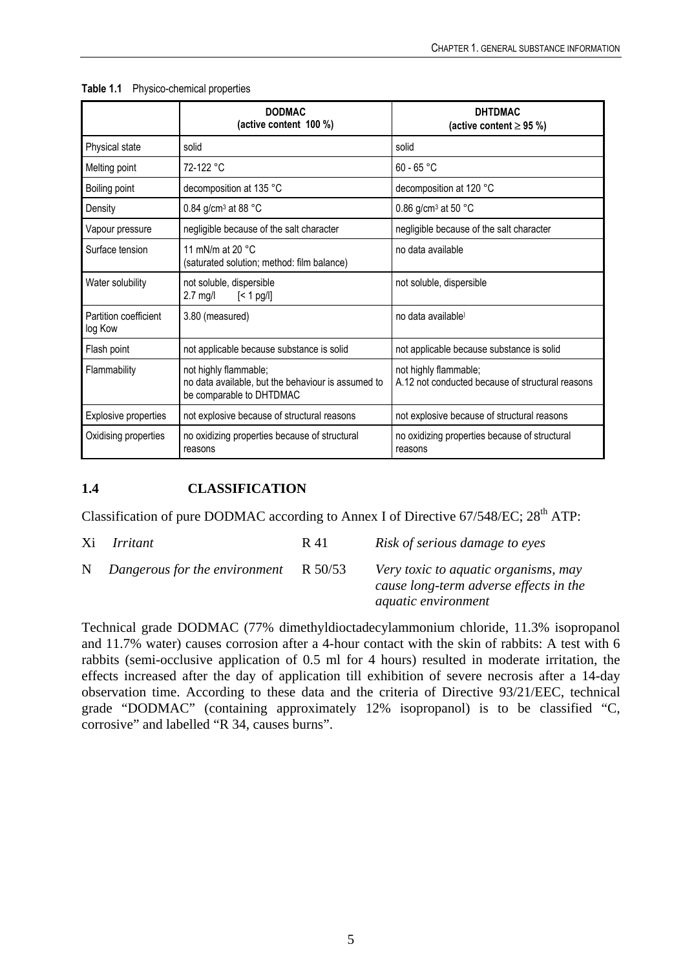|                                  | <b>DODMAC</b><br>(active content 100 %)                                                                 | <b>DHTDMAC</b><br>(active content $\geq$ 95 %)                            |
|----------------------------------|---------------------------------------------------------------------------------------------------------|---------------------------------------------------------------------------|
| Physical state                   | solid                                                                                                   | solid                                                                     |
| Melting point                    | $72-122 °C$                                                                                             | $60 - 65 °C$                                                              |
| Boiling point                    | decomposition at 135 °C                                                                                 | decomposition at 120 °C                                                   |
| Density                          | 0.84 g/cm <sup>3</sup> at 88 $^{\circ}$ C                                                               | 0.86 g/cm <sup>3</sup> at 50 $^{\circ}$ C                                 |
| Vapour pressure                  | negligible because of the salt character                                                                | negligible because of the salt character                                  |
| Surface tension                  | 11 mN/m at 20 $\degree$ C<br>(saturated solution; method: film balance)                                 | no data available                                                         |
| Water solubility                 | not soluble, dispersible<br>$2.7 \text{ mg/l}$<br>$\leq 1$ pg/l]                                        | not soluble, dispersible                                                  |
| Partition coefficient<br>log Kow | 3.80 (measured)                                                                                         | no data available)                                                        |
| Flash point                      | not applicable because substance is solid                                                               | not applicable because substance is solid                                 |
| Flammability                     | not highly flammable;<br>no data available, but the behaviour is assumed to<br>be comparable to DHTDMAC | not highly flammable;<br>A.12 not conducted because of structural reasons |
| Explosive properties             | not explosive because of structural reasons                                                             | not explosive because of structural reasons                               |
| Oxidising properties             | no oxidizing properties because of structural<br>reasons                                                | no oxidizing properties because of structural<br>reasons                  |

#### <span id="page-15-1"></span>**Table 1.1** Physico-chemical properties

#### <span id="page-15-0"></span>**1.4 CLASSIFICATION**

Classification of pure DODMAC according to Annex I of Directive 67/548/EC; 28<sup>th</sup> ATP:

Xi *Irritant* R 41 *Risk of serious damage to eyes* N *Dangerous for the environment* R 50/53 *Very toxic to aquatic organisms, may cause long-term adverse effects in the aquatic environment* 

Technical grade DODMAC (77% dimethyldioctadecylammonium chloride, 11.3% isopropanol and 11.7% water) causes corrosion after a 4-hour contact with the skin of rabbits: A test with 6 rabbits (semi-occlusive application of 0.5 ml for 4 hours) resulted in moderate irritation, the effects increased after the day of application till exhibition of severe necrosis after a 14-day observation time. According to these data and the criteria of Directive 93/21/EEC, technical grade "DODMAC" (containing approximately 12% isopropanol) is to be classified "C, corrosive" and labelled "R 34, causes burns".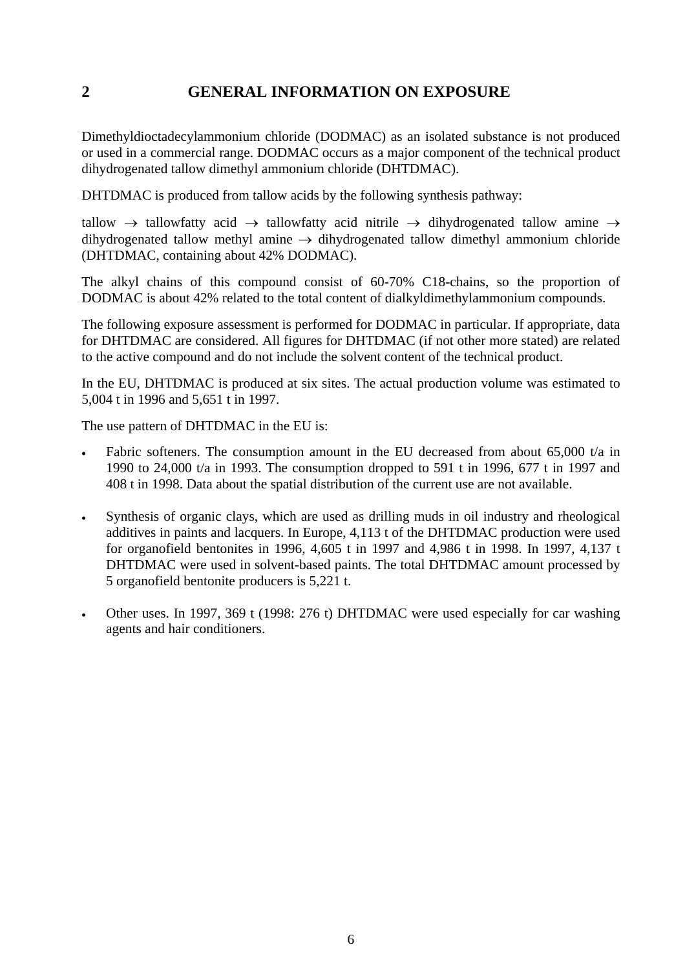### <span id="page-16-0"></span>**2 GENERAL INFORMATION ON EXPOSURE**

Dimethyldioctadecylammonium chloride (DODMAC) as an isolated substance is not produced or used in a commercial range. DODMAC occurs as a major component of the technical product dihydrogenated tallow dimethyl ammonium chloride (DHTDMAC).

DHTDMAC is produced from tallow acids by the following synthesis pathway:

tallow  $\rightarrow$  tallowfatty acid  $\rightarrow$  tallowfatty acid nitrile  $\rightarrow$  dihydrogenated tallow amine  $\rightarrow$ dihydrogenated tallow methyl amine  $\rightarrow$  dihydrogenated tallow dimethyl ammonium chloride (DHTDMAC, containing about 42% DODMAC).

The alkyl chains of this compound consist of 60-70% C18-chains, so the proportion of DODMAC is about 42% related to the total content of dialkyldimethylammonium compounds.

The following exposure assessment is performed for DODMAC in particular. If appropriate, data for DHTDMAC are considered. All figures for DHTDMAC (if not other more stated) are related to the active compound and do not include the solvent content of the technical product.

In the EU, DHTDMAC is produced at six sites. The actual production volume was estimated to 5,004 t in 1996 and 5,651 t in 1997.

The use pattern of DHTDMAC in the EU is:

- Fabric softeners. The consumption amount in the EU decreased from about 65,000 t/a in 1990 to 24,000 t/a in 1993. The consumption dropped to 591 t in 1996, 677 t in 1997 and 408 t in 1998. Data about the spatial distribution of the current use are not available.
- Synthesis of organic clays, which are used as drilling muds in oil industry and rheological additives in paints and lacquers. In Europe, 4,113 t of the DHTDMAC production were used for organofield bentonites in 1996, 4,605 t in 1997 and 4,986 t in 1998. In 1997, 4,137 t DHTDMAC were used in solvent-based paints. The total DHTDMAC amount processed by 5 organofield bentonite producers is 5,221 t.
- Other uses. In 1997, 369 t (1998: 276 t) DHTDMAC were used especially for car washing agents and hair conditioners.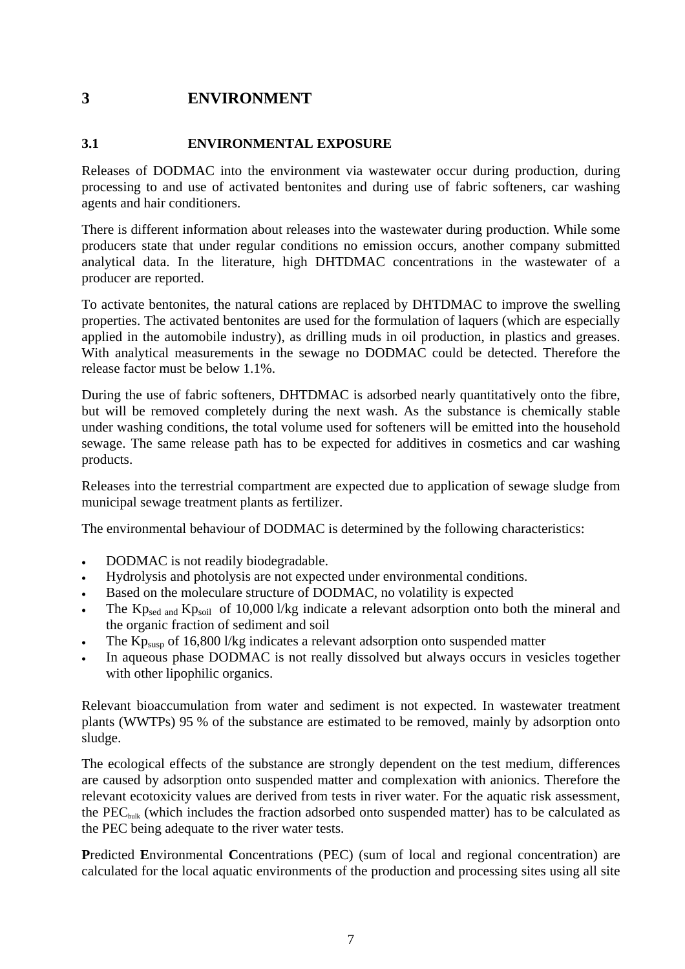# <span id="page-17-0"></span>**3 ENVIRONMENT**

### <span id="page-17-1"></span>**3.1 ENVIRONMENTAL EXPOSURE**

Releases of DODMAC into the environment via wastewater occur during production, during processing to and use of activated bentonites and during use of fabric softeners, car washing agents and hair conditioners.

There is different information about releases into the wastewater during production. While some producers state that under regular conditions no emission occurs, another company submitted analytical data. In the literature, high DHTDMAC concentrations in the wastewater of a producer are reported.

To activate bentonites, the natural cations are replaced by DHTDMAC to improve the swelling properties. The activated bentonites are used for the formulation of laquers (which are especially applied in the automobile industry), as drilling muds in oil production, in plastics and greases. With analytical measurements in the sewage no DODMAC could be detected. Therefore the release factor must be below 1.1%.

During the use of fabric softeners, DHTDMAC is adsorbed nearly quantitatively onto the fibre, but will be removed completely during the next wash. As the substance is chemically stable under washing conditions, the total volume used for softeners will be emitted into the household sewage. The same release path has to be expected for additives in cosmetics and car washing products.

Releases into the terrestrial compartment are expected due to application of sewage sludge from municipal sewage treatment plants as fertilizer.

The environmental behaviour of DODMAC is determined by the following characteristics:

- DODMAC is not readily biodegradable.
- Hydrolysis and photolysis are not expected under environmental conditions.
- Based on the moleculare structure of DODMAC, no volatility is expected
- The  $Kp_{\text{sed and }}Kp_{\text{solid}}$  of 10,000 l/kg indicate a relevant adsorption onto both the mineral and the organic fraction of sediment and soil
- The  $Kp<sub>sl30</sub>$  of 16,800 l/kg indicates a relevant adsorption onto suspended matter
- In aqueous phase DODMAC is not really dissolved but always occurs in vesicles together with other lipophilic organics.

Relevant bioaccumulation from water and sediment is not expected. In wastewater treatment plants (WWTPs) 95 % of the substance are estimated to be removed, mainly by adsorption onto sludge.

The ecological effects of the substance are strongly dependent on the test medium, differences are caused by adsorption onto suspended matter and complexation with anionics. Therefore the relevant ecotoxicity values are derived from tests in river water. For the aquatic risk assessment, the  $PEC<sub>bulk</sub>$  (which includes the fraction adsorbed onto suspended matter) has to be calculated as the PEC being adequate to the river water tests.

**P**redicted **E**nvironmental **C**oncentrations (PEC) (sum of local and regional concentration) are calculated for the local aquatic environments of the production and processing sites using all site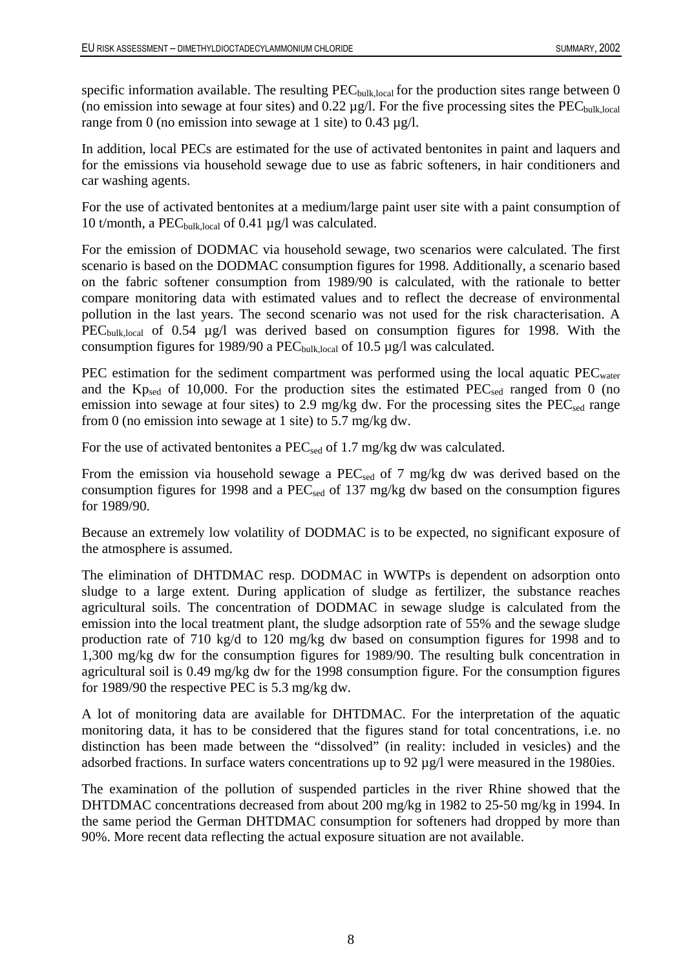specific information available. The resulting  $PEC_{bulk,local}$  for the production sites range between 0 (no emission into sewage at four sites) and  $0.22 \mu g/l$ . For the five processing sites the PEC<sub>bulk,local</sub> range from 0 (no emission into sewage at 1 site) to  $0.43 \mu$ g/l.

In addition, local PECs are estimated for the use of activated bentonites in paint and laquers and for the emissions via household sewage due to use as fabric softeners, in hair conditioners and car washing agents.

For the use of activated bentonites at a medium/large paint user site with a paint consumption of 10 t/month, a PEC<sub>bulk,local</sub> of 0.41  $\mu$ g/l was calculated.

For the emission of DODMAC via household sewage, two scenarios were calculated. The first scenario is based on the DODMAC consumption figures for 1998. Additionally, a scenario based on the fabric softener consumption from 1989/90 is calculated, with the rationale to better compare monitoring data with estimated values and to reflect the decrease of environmental pollution in the last years. The second scenario was not used for the risk characterisation. A PEC<sub>bulk,local</sub> of 0.54 µg/l was derived based on consumption figures for 1998. With the consumption figures for 1989/90 a  $PEC_{bulk,local}$  of 10.5  $\mu$ g/l was calculated.

PEC estimation for the sediment compartment was performed using the local aquatic  $PEC_{water}$ and the  $Kp_{sed}$  of 10,000. For the production sites the estimated  $PEC_{sed}$  ranged from 0 (no emission into sewage at four sites) to 2.9 mg/kg dw. For the processing sites the  $PEC_{sed}$  range from 0 (no emission into sewage at 1 site) to 5.7 mg/kg dw.

For the use of activated bentonites a PEC<sub>sed</sub> of 1.7 mg/kg dw was calculated.

From the emission via household sewage a  $PEC_{sed}$  of 7 mg/kg dw was derived based on the consumption figures for 1998 and a PEC<sub>sed</sub> of 137 mg/kg dw based on the consumption figures for 1989/90.

Because an extremely low volatility of DODMAC is to be expected, no significant exposure of the atmosphere is assumed.

The elimination of DHTDMAC resp. DODMAC in WWTPs is dependent on adsorption onto sludge to a large extent. During application of sludge as fertilizer, the substance reaches agricultural soils. The concentration of DODMAC in sewage sludge is calculated from the emission into the local treatment plant, the sludge adsorption rate of 55% and the sewage sludge production rate of 710 kg/d to 120 mg/kg dw based on consumption figures for 1998 and to 1,300 mg/kg dw for the consumption figures for 1989/90. The resulting bulk concentration in agricultural soil is 0.49 mg/kg dw for the 1998 consumption figure. For the consumption figures for 1989/90 the respective PEC is 5.3 mg/kg dw.

A lot of monitoring data are available for DHTDMAC. For the interpretation of the aquatic monitoring data, it has to be considered that the figures stand for total concentrations, i.e. no distinction has been made between the "dissolved" (in reality: included in vesicles) and the adsorbed fractions. In surface waters concentrations up to 92 µg/l were measured in the 1980ies.

The examination of the pollution of suspended particles in the river Rhine showed that the DHTDMAC concentrations decreased from about 200 mg/kg in 1982 to 25-50 mg/kg in 1994. In the same period the German DHTDMAC consumption for softeners had dropped by more than 90%. More recent data reflecting the actual exposure situation are not available.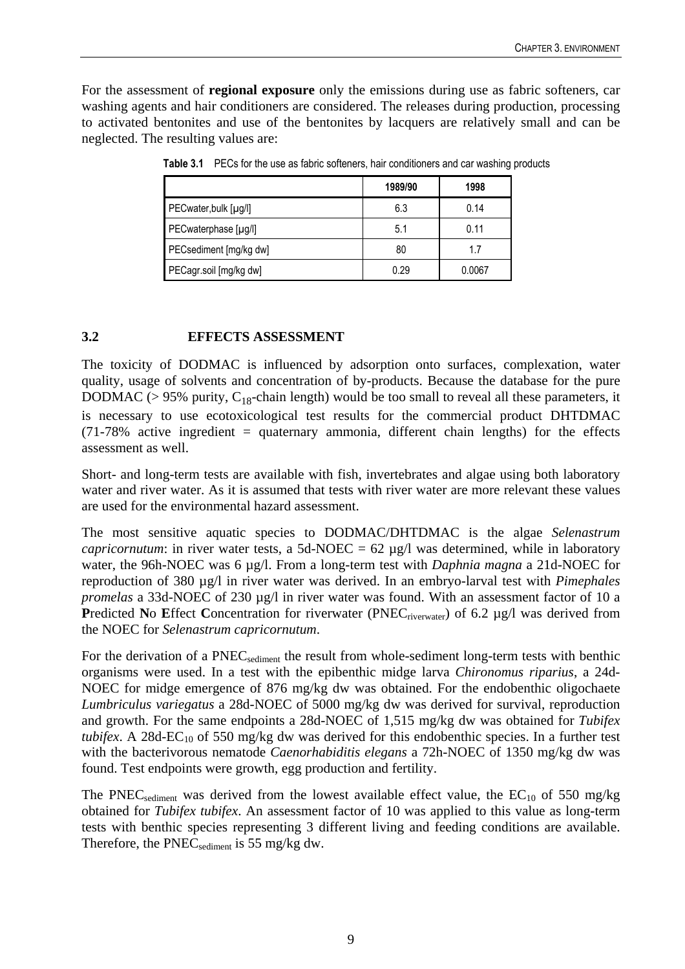<span id="page-19-1"></span>For the assessment of **regional exposure** only the emissions during use as fabric softeners, car washing agents and hair conditioners are considered. The releases during production, processing to activated bentonites and use of the bentonites by lacquers are relatively small and can be neglected. The resulting values are:

|                        | 1989/90 | 1998   |
|------------------------|---------|--------|
| PECwater, bulk [µg/l]  | 6.3     | 0.14   |
| PECwaterphase [µg/l]   | 5.1     | 0.11   |
| PECsediment [mg/kg dw] | 80      | 1.7    |
| PECagr.soil [mg/kg dw] | 0.29    | 0.0067 |

**Table 3.1** PECs for the use as fabric softeners, hair conditioners and car washing products

#### <span id="page-19-0"></span>**3.2 EFFECTS ASSESSMENT**

The toxicity of DODMAC is influenced by adsorption onto surfaces, complexation, water quality, usage of solvents and concentration of by-products. Because the database for the pure DODMAC ( $> 95\%$  purity, C<sub>18</sub>-chain length) would be too small to reveal all these parameters, it is necessary to use ecotoxicological test results for the commercial product DHTDMAC (71-78% active ingredient = quaternary ammonia, different chain lengths) for the effects assessment as well.

Short- and long-term tests are available with fish, invertebrates and algae using both laboratory water and river water. As it is assumed that tests with river water are more relevant these values are used for the environmental hazard assessment.

The most sensitive aquatic species to DODMAC/DHTDMAC is the algae *Selenastrum capricornutum*: in river water tests, a 5d-NOEC =  $62 \mu g/l$  was determined, while in laboratory water, the 96h-NOEC was 6 µg/l. From a long-term test with *Daphnia magna* a 21d-NOEC for reproduction of 380 µg/l in river water was derived. In an embryo-larval test with *Pimephales promelas* a 33d-NOEC of 230 µg/l in river water was found. With an assessment factor of 10 a **Predicted No Effect Concentration for riverwater (PNEC<sub>riverwater</sub>) of 6.2 µg/l was derived from** the NOEC for *Selenastrum capricornutum*.

For the derivation of a PNEC<sub>sediment</sub> the result from whole-sediment long-term tests with benthic organisms were used. In a test with the epibenthic midge larva *Chironomus riparius*, a 24d-NOEC for midge emergence of 876 mg/kg dw was obtained. For the endobenthic oligochaete *Lumbriculus variegatus* a 28d-NOEC of 5000 mg/kg dw was derived for survival, reproduction and growth. For the same endpoints a 28d-NOEC of 1,515 mg/kg dw was obtained for *Tubifex tubifex*. A 28d-EC<sub>10</sub> of 550 mg/kg dw was derived for this endobenthic species. In a further test with the bacterivorous nematode *Caenorhabiditis elegans* a 72h-NOEC of 1350 mg/kg dw was found. Test endpoints were growth, egg production and fertility.

The PNEC<sub>sediment</sub> was derived from the lowest available effect value, the  $EC_{10}$  of 550 mg/kg obtained for *Tubifex tubifex*. An assessment factor of 10 was applied to this value as long-term tests with benthic species representing 3 different living and feeding conditions are available. Therefore, the  $PNEC_{\text{sediment}}$  is 55 mg/kg dw.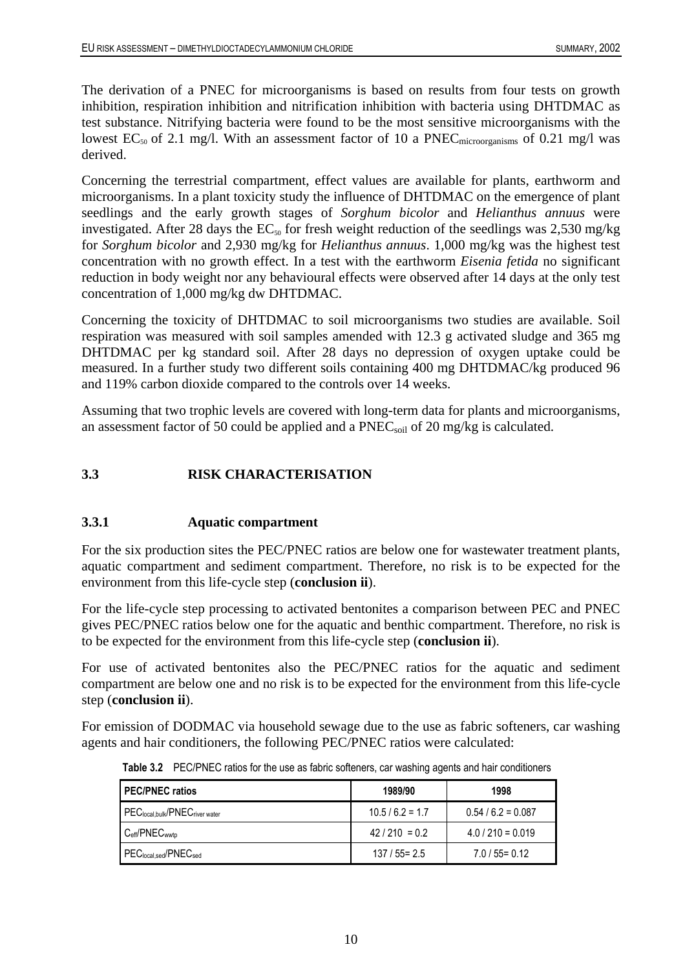The derivation of a PNEC for microorganisms is based on results from four tests on growth inhibition, respiration inhibition and nitrification inhibition with bacteria using DHTDMAC as test substance. Nitrifying bacteria were found to be the most sensitive microorganisms with the lowest  $EC_{50}$  of 2.1 mg/l. With an assessment factor of 10 a PNEC<sub>microorganisms</sub> of 0.21 mg/l was derived.

Concerning the terrestrial compartment, effect values are available for plants, earthworm and microorganisms. In a plant toxicity study the influence of DHTDMAC on the emergence of plant seedlings and the early growth stages of *Sorghum bicolor* and *Helianthus annuus* were investigated. After 28 days the  $EC_{50}$  for fresh weight reduction of the seedlings was 2,530 mg/kg for *Sorghum bicolor* and 2,930 mg/kg for *Helianthus annuus*. 1,000 mg/kg was the highest test concentration with no growth effect. In a test with the earthworm *Eisenia fetida* no significant reduction in body weight nor any behavioural effects were observed after 14 days at the only test concentration of 1,000 mg/kg dw DHTDMAC.

Concerning the toxicity of DHTDMAC to soil microorganisms two studies are available. Soil respiration was measured with soil samples amended with 12.3 g activated sludge and 365 mg DHTDMAC per kg standard soil. After 28 days no depression of oxygen uptake could be measured. In a further study two different soils containing 400 mg DHTDMAC/kg produced 96 and 119% carbon dioxide compared to the controls over 14 weeks.

Assuming that two trophic levels are covered with long-term data for plants and microorganisms, an assessment factor of 50 could be applied and a PNEC<sub>soil</sub> of 20 mg/kg is calculated.

#### <span id="page-20-0"></span>**3.3 RISK CHARACTERISATION**

#### <span id="page-20-1"></span>**3.3.1 Aquatic compartment**

For the six production sites the PEC/PNEC ratios are below one for wastewater treatment plants, aquatic compartment and sediment compartment. Therefore, no risk is to be expected for the environment from this life-cycle step (**conclusion ii**).

For the life-cycle step processing to activated bentonites a comparison between PEC and PNEC gives PEC/PNEC ratios below one for the aquatic and benthic compartment. Therefore, no risk is to be expected for the environment from this life-cycle step (**conclusion ii**).

For use of activated bentonites also the PEC/PNEC ratios for the aquatic and sediment compartment are below one and no risk is to be expected for the environment from this life-cycle step (**conclusion ii**).

<span id="page-20-2"></span>For emission of DODMAC via household sewage due to the use as fabric softeners, car washing agents and hair conditioners, the following PEC/PNEC ratios were calculated:

| <b>PEC/PNEC ratios</b>                                 | 1989/90          | 1998                |  |
|--------------------------------------------------------|------------------|---------------------|--|
| PEC <sub>local.bulk</sub> /PNEC <sub>river water</sub> | $10.5/6.2 = 1.7$ | $0.54/6.2 = 0.087$  |  |
| $C_{\text{eff}}$ /PNE $C_{\text{wwto}}$                | $42/210 = 0.2$   | $4.0 / 210 = 0.019$ |  |
| PEClocal,sed/PNECsed                                   | $137/55 = 2.5$   | $7.0/55 = 0.12$     |  |

**Table 3.2** PEC/PNEC ratios for the use as fabric softeners, car washing agents and hair conditioners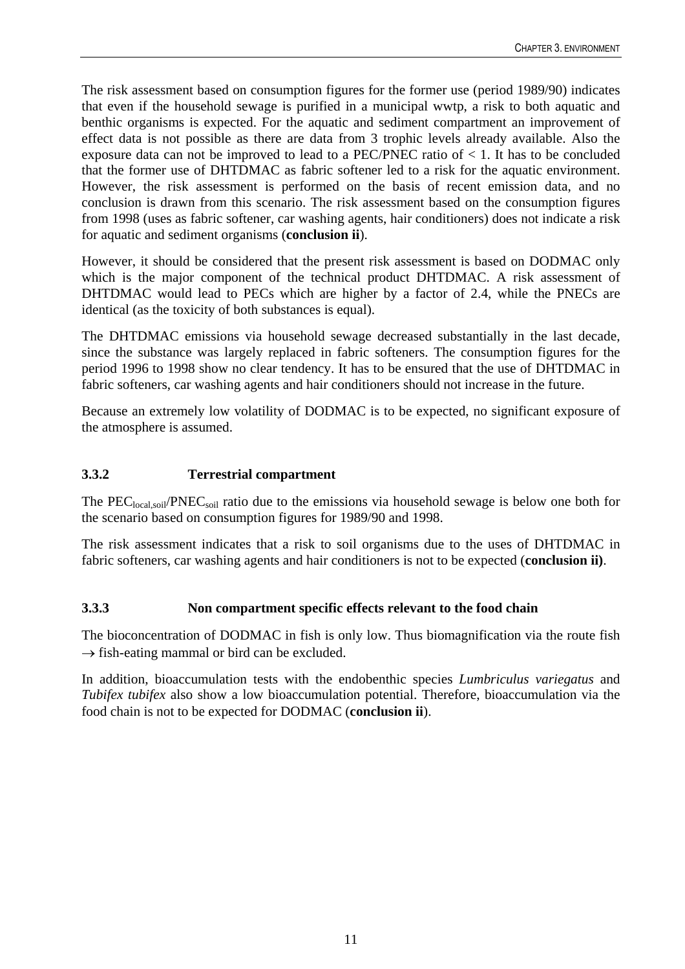The risk assessment based on consumption figures for the former use (period 1989/90) indicates that even if the household sewage is purified in a municipal wwtp, a risk to both aquatic and benthic organisms is expected. For the aquatic and sediment compartment an improvement of effect data is not possible as there are data from 3 trophic levels already available. Also the exposure data can not be improved to lead to a PEC/PNEC ratio of < 1. It has to be concluded that the former use of DHTDMAC as fabric softener led to a risk for the aquatic environment. However, the risk assessment is performed on the basis of recent emission data, and no conclusion is drawn from this scenario. The risk assessment based on the consumption figures from 1998 (uses as fabric softener, car washing agents, hair conditioners) does not indicate a risk for aquatic and sediment organisms (**conclusion ii**).

However, it should be considered that the present risk assessment is based on DODMAC only which is the major component of the technical product DHTDMAC. A risk assessment of DHTDMAC would lead to PECs which are higher by a factor of 2.4, while the PNECs are identical (as the toxicity of both substances is equal).

The DHTDMAC emissions via household sewage decreased substantially in the last decade, since the substance was largely replaced in fabric softeners. The consumption figures for the period 1996 to 1998 show no clear tendency. It has to be ensured that the use of DHTDMAC in fabric softeners, car washing agents and hair conditioners should not increase in the future.

Because an extremely low volatility of DODMAC is to be expected, no significant exposure of the atmosphere is assumed.

#### <span id="page-21-0"></span>**3.3.2 Terrestrial compartment**

The PEC<sub>local,soil</sub>/PNEC<sub>soil</sub> ratio due to the emissions via household sewage is below one both for the scenario based on consumption figures for 1989/90 and 1998.

The risk assessment indicates that a risk to soil organisms due to the uses of DHTDMAC in fabric softeners, car washing agents and hair conditioners is not to be expected (**conclusion ii)**.

#### <span id="page-21-1"></span>**3.3.3 Non compartment specific effects relevant to the food chain**

The bioconcentration of DODMAC in fish is only low. Thus biomagnification via the route fish  $\rightarrow$  fish-eating mammal or bird can be excluded.

In addition, bioaccumulation tests with the endobenthic species *Lumbriculus variegatus* and *Tubifex tubifex* also show a low bioaccumulation potential. Therefore, bioaccumulation via the food chain is not to be expected for DODMAC (**conclusion ii**).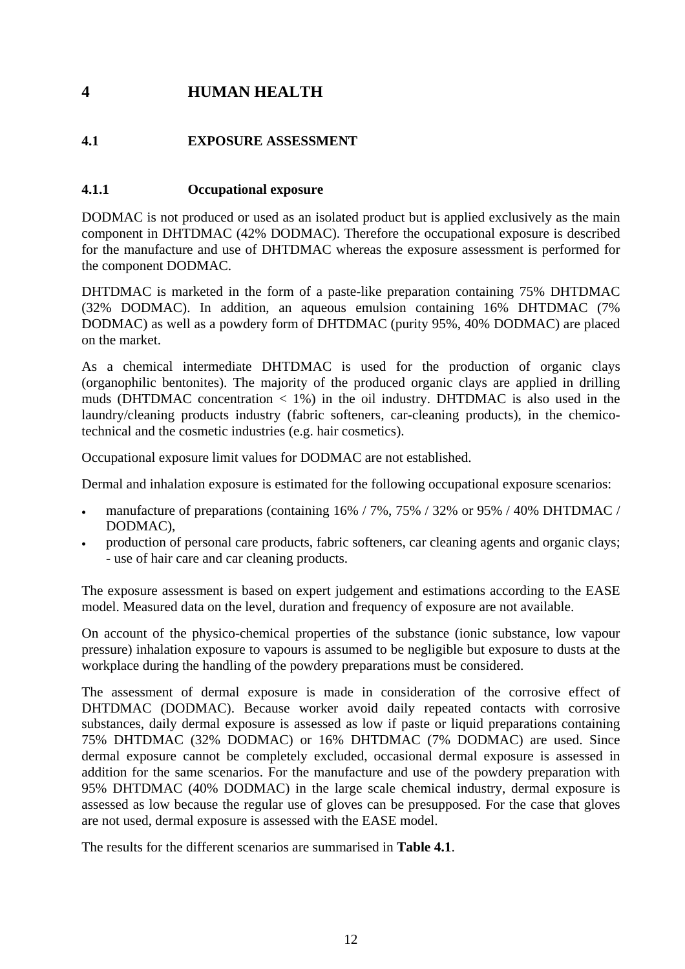# <span id="page-22-0"></span>**4 HUMAN HEALTH**

### <span id="page-22-1"></span>**4.1 EXPOSURE ASSESSMENT**

### <span id="page-22-2"></span>**4.1.1 Occupational exposure**

DODMAC is not produced or used as an isolated product but is applied exclusively as the main component in DHTDMAC (42% DODMAC). Therefore the occupational exposure is described for the manufacture and use of DHTDMAC whereas the exposure assessment is performed for the component DODMAC.

DHTDMAC is marketed in the form of a paste-like preparation containing 75% DHTDMAC (32% DODMAC). In addition, an aqueous emulsion containing 16% DHTDMAC (7% DODMAC) as well as a powdery form of DHTDMAC (purity 95%, 40% DODMAC) are placed on the market.

As a chemical intermediate DHTDMAC is used for the production of organic clays (organophilic bentonites). The majority of the produced organic clays are applied in drilling muds (DHTDMAC concentration  $\lt 1\%$ ) in the oil industry. DHTDMAC is also used in the laundry/cleaning products industry (fabric softeners, car-cleaning products), in the chemicotechnical and the cosmetic industries (e.g. hair cosmetics).

Occupational exposure limit values for DODMAC are not established.

Dermal and inhalation exposure is estimated for the following occupational exposure scenarios:

- manufacture of preparations (containing 16% / 7%, 75% / 32% or 95% / 40% DHTDMAC / DODMAC),
- production of personal care products, fabric softeners, car cleaning agents and organic clays; - use of hair care and car cleaning products.

The exposure assessment is based on expert judgement and estimations according to the EASE model. Measured data on the level, duration and frequency of exposure are not available.

On account of the physico-chemical properties of the substance (ionic substance, low vapour pressure) inhalation exposure to vapours is assumed to be negligible but exposure to dusts at the workplace during the handling of the powdery preparations must be considered.

The assessment of dermal exposure is made in consideration of the corrosive effect of DHTDMAC (DODMAC). Because worker avoid daily repeated contacts with corrosive substances, daily dermal exposure is assessed as low if paste or liquid preparations containing 75% DHTDMAC (32% DODMAC) or 16% DHTDMAC (7% DODMAC) are used. Since dermal exposure cannot be completely excluded, occasional dermal exposure is assessed in addition for the same scenarios. For the manufacture and use of the powdery preparation with 95% DHTDMAC (40% DODMAC) in the large scale chemical industry, dermal exposure is assessed as low because the regular use of gloves can be presupposed. For the case that gloves are not used, dermal exposure is assessed with the EASE model.

The results for the different scenarios are summarised in **Table 4.1**.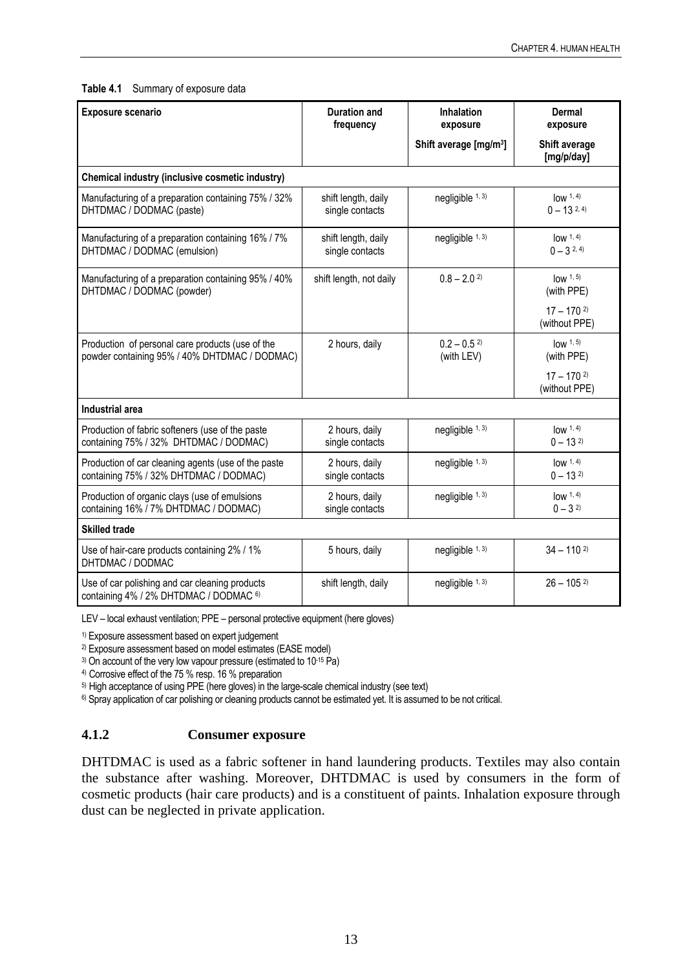#### <span id="page-23-1"></span>**Table 4.1** Summary of exposure data

| Exposure scenario                                                                                 | <b>Duration and</b><br>frequency       | <b>Inhalation</b><br>exposure           | Dermal<br>exposure                        |
|---------------------------------------------------------------------------------------------------|----------------------------------------|-----------------------------------------|-------------------------------------------|
|                                                                                                   |                                        | Shift average [mg/m <sup>3</sup> ]      | Shift average<br>[mg/p/day]               |
| Chemical industry (inclusive cosmetic industry)                                                   |                                        |                                         |                                           |
| Manufacturing of a preparation containing 75% / 32%<br>DHTDMAC / DODMAC (paste)                   | shift length, daily<br>single contacts | negligible 1, 3)                        | $low\,1, 4)$<br>$0 - 13^{2,4}$            |
| Manufacturing of a preparation containing 16% / 7%<br>DHTDMAC / DODMAC (emulsion)                 | shift length, daily<br>single contacts | negligible 1, 3)                        | low 1, 4)<br>$0 - 3^{2, 4}$               |
| Manufacturing of a preparation containing 95% / 40%<br>DHTDMAC / DODMAC (powder)                  | shift length, not daily                | $0.8 - 2.02$                            | $low$ 1, 5)<br>(with PPE)                 |
|                                                                                                   |                                        |                                         | $17 - 1702$<br>(without PPE)              |
| Production of personal care products (use of the<br>powder containing 95% / 40% DHTDMAC / DODMAC) | 2 hours, daily                         | $0.2 - 0.5$ <sup>2)</sup><br>(with LEV) | $low$ $1, 5)$<br>(with PPE)               |
|                                                                                                   |                                        |                                         | $17 - 170$ <sup>2)</sup><br>(without PPE) |
| <b>Industrial area</b>                                                                            |                                        |                                         |                                           |
| Production of fabric softeners (use of the paste<br>containing 75% / 32% DHTDMAC / DODMAC)        | 2 hours, daily<br>single contacts      | negligible 1, 3)                        | low 1, 4)<br>$0 - 132$                    |
| Production of car cleaning agents (use of the paste<br>containing 75% / 32% DHTDMAC / DODMAC)     | 2 hours, daily<br>single contacts      | negligible 1, 3)                        | low 1, 4)<br>$0 - 13^{2}$                 |
| Production of organic clays (use of emulsions<br>containing 16% / 7% DHTDMAC / DODMAC)            | 2 hours, daily<br>single contacts      | negligible 1, 3)                        | low 1, 4)<br>$0 - 32$                     |
| <b>Skilled trade</b>                                                                              |                                        |                                         |                                           |
| Use of hair-care products containing 2% / 1%<br>DHTDMAC / DODMAC                                  | 5 hours, daily                         | negligible 1, 3)                        | $34 - 110^{2}$                            |
| Use of car polishing and car cleaning products<br>containing 4% / 2% DHTDMAC / DODMAC 6)          | shift length, daily                    | negligible 1, 3)                        | $26 - 105^{2}$                            |

LEV – local exhaust ventilation; PPE – personal protective equipment (here gloves)

1) Exposure assessment based on expert judgement

2) Exposure assessment based on model estimates (EASE model)

<sup>3)</sup> On account of the very low vapour pressure (estimated to 10<sup>-15</sup> Pa)

4) Corrosive effect of the 75 % resp. 16 % preparation

5) High acceptance of using PPE (here gloves) in the large-scale chemical industry (see text)

<span id="page-23-0"></span><sup>6)</sup> Spray application of car polishing or cleaning products cannot be estimated yet. It is assumed to be not critical.

#### **4.1.2 Consumer exposure**

DHTDMAC is used as a fabric softener in hand laundering products. Textiles may also contain the substance after washing. Moreover, DHTDMAC is used by consumers in the form of cosmetic products (hair care products) and is a constituent of paints. Inhalation exposure through dust can be neglected in private application.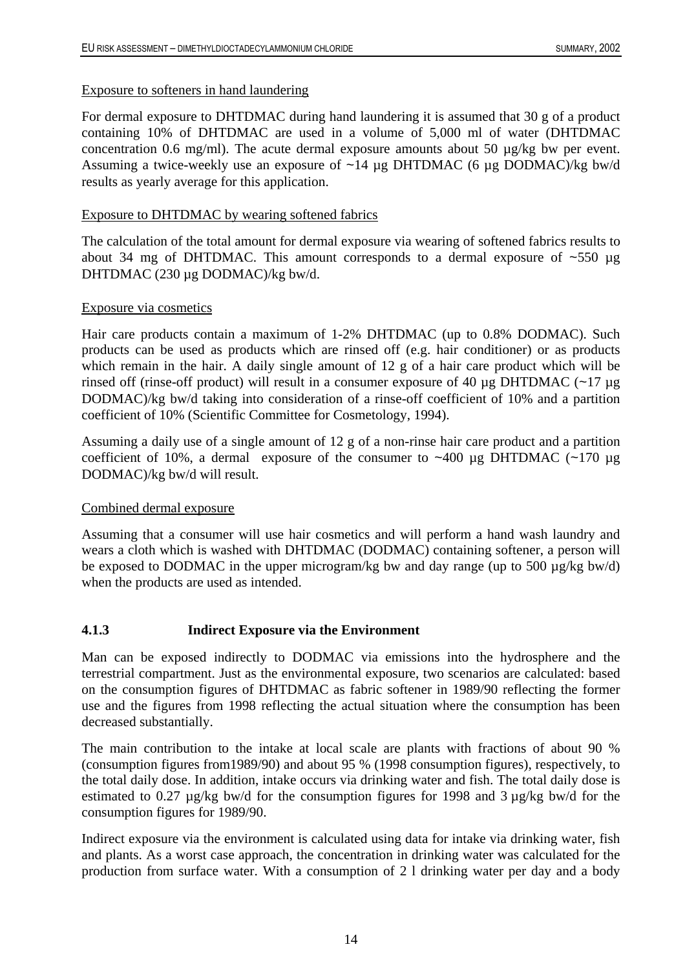#### Exposure to softeners in hand laundering

For dermal exposure to DHTDMAC during hand laundering it is assumed that 30 g of a product containing 10% of DHTDMAC are used in a volume of 5,000 ml of water (DHTDMAC concentration 0.6 mg/ml). The acute dermal exposure amounts about 50 µg/kg bw per event. Assuming a twice-weekly use an exposure of  $~14 \mu$ g DHTDMAC (6  $\mu$ g DODMAC)/kg bw/d results as yearly average for this application.

#### Exposure to DHTDMAC by wearing softened fabrics

The calculation of the total amount for dermal exposure via wearing of softened fabrics results to about 34 mg of DHTDMAC. This amount corresponds to a dermal exposure of  $~550 \mu$ g DHTDMAC (230 µg DODMAC)/kg bw/d.

#### Exposure via cosmetics

Hair care products contain a maximum of 1-2% DHTDMAC (up to 0.8% DODMAC). Such products can be used as products which are rinsed off (e.g. hair conditioner) or as products which remain in the hair. A daily single amount of 12 g of a hair care product which will be rinsed off (rinse-off product) will result in a consumer exposure of 40  $\mu$ g DHTDMAC (~17  $\mu$ g DODMAC)/kg bw/d taking into consideration of a rinse-off coefficient of 10% and a partition coefficient of 10% (Scientific Committee for Cosmetology, 1994).

Assuming a daily use of a single amount of 12 g of a non-rinse hair care product and a partition coefficient of 10%, a dermal exposure of the consumer to  $\sim$ 400 µg DHTDMAC ( $\sim$ 170 µg DODMAC)/kg bw/d will result.

#### Combined dermal exposure

Assuming that a consumer will use hair cosmetics and will perform a hand wash laundry and wears a cloth which is washed with DHTDMAC (DODMAC) containing softener, a person will be exposed to DODMAC in the upper microgram/kg bw and day range (up to 500 µg/kg bw/d) when the products are used as intended.

#### <span id="page-24-0"></span>**4.1.3 Indirect Exposure via the Environment**

Man can be exposed indirectly to DODMAC via emissions into the hydrosphere and the terrestrial compartment. Just as the environmental exposure, two scenarios are calculated: based on the consumption figures of DHTDMAC as fabric softener in 1989/90 reflecting the former use and the figures from 1998 reflecting the actual situation where the consumption has been decreased substantially.

The main contribution to the intake at local scale are plants with fractions of about 90 % (consumption figures from1989/90) and about 95 % (1998 consumption figures), respectively, to the total daily dose. In addition, intake occurs via drinking water and fish. The total daily dose is estimated to 0.27 µg/kg bw/d for the consumption figures for 1998 and 3 µg/kg bw/d for the consumption figures for 1989/90.

Indirect exposure via the environment is calculated using data for intake via drinking water, fish and plants. As a worst case approach, the concentration in drinking water was calculated for the production from surface water. With a consumption of 2 l drinking water per day and a body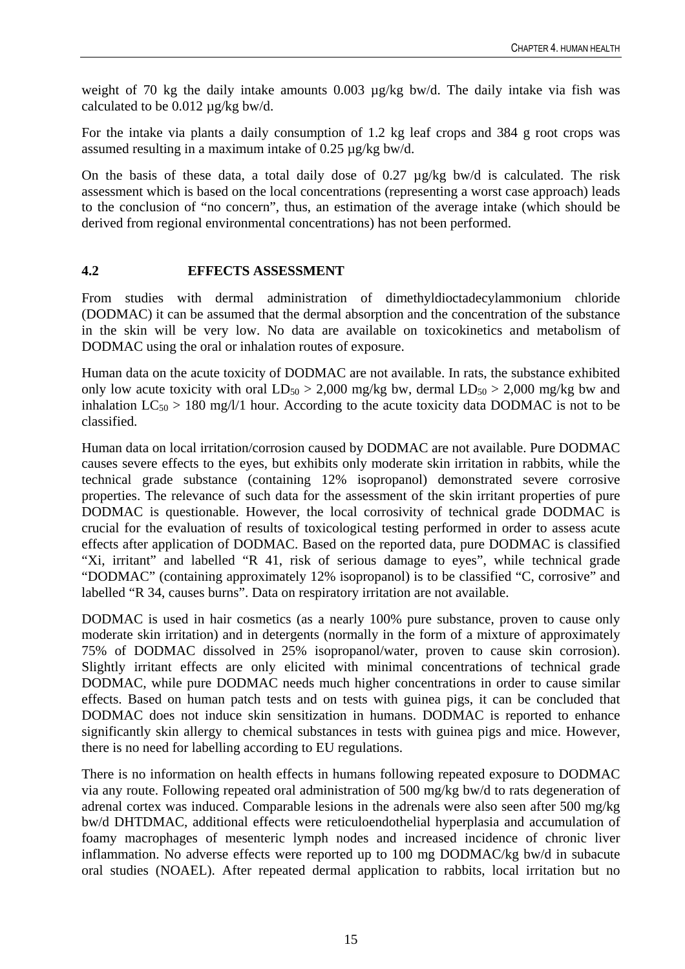weight of 70 kg the daily intake amounts 0.003  $\mu$ g/kg bw/d. The daily intake via fish was calculated to be 0.012 µg/kg bw/d.

For the intake via plants a daily consumption of 1.2 kg leaf crops and 384 g root crops was assumed resulting in a maximum intake of 0.25 µg/kg bw/d.

On the basis of these data, a total daily dose of 0.27 µg/kg bw/d is calculated. The risk assessment which is based on the local concentrations (representing a worst case approach) leads to the conclusion of "no concern", thus, an estimation of the average intake (which should be derived from regional environmental concentrations) has not been performed.

#### <span id="page-25-0"></span>**4.2 EFFECTS ASSESSMENT**

From studies with dermal administration of dimethyldioctadecylammonium chloride (DODMAC) it can be assumed that the dermal absorption and the concentration of the substance in the skin will be very low. No data are available on toxicokinetics and metabolism of DODMAC using the oral or inhalation routes of exposure.

Human data on the acute toxicity of DODMAC are not available. In rats, the substance exhibited only low acute toxicity with oral  $LD_{50} > 2,000$  mg/kg bw, dermal  $LD_{50} > 2,000$  mg/kg bw and inhalation  $LC_{50} > 180$  mg/l/1 hour. According to the acute toxicity data DODMAC is not to be classified.

Human data on local irritation/corrosion caused by DODMAC are not available. Pure DODMAC causes severe effects to the eyes, but exhibits only moderate skin irritation in rabbits, while the technical grade substance (containing 12% isopropanol) demonstrated severe corrosive properties. The relevance of such data for the assessment of the skin irritant properties of pure DODMAC is questionable. However, the local corrosivity of technical grade DODMAC is crucial for the evaluation of results of toxicological testing performed in order to assess acute effects after application of DODMAC. Based on the reported data, pure DODMAC is classified "Xi, irritant" and labelled "R 41, risk of serious damage to eyes", while technical grade "DODMAC" (containing approximately 12% isopropanol) is to be classified "C, corrosive" and labelled "R 34, causes burns". Data on respiratory irritation are not available.

DODMAC is used in hair cosmetics (as a nearly 100% pure substance, proven to cause only moderate skin irritation) and in detergents (normally in the form of a mixture of approximately 75% of DODMAC dissolved in 25% isopropanol/water, proven to cause skin corrosion). Slightly irritant effects are only elicited with minimal concentrations of technical grade DODMAC, while pure DODMAC needs much higher concentrations in order to cause similar effects. Based on human patch tests and on tests with guinea pigs, it can be concluded that DODMAC does not induce skin sensitization in humans. DODMAC is reported to enhance significantly skin allergy to chemical substances in tests with guinea pigs and mice. However, there is no need for labelling according to EU regulations.

There is no information on health effects in humans following repeated exposure to DODMAC via any route. Following repeated oral administration of 500 mg/kg bw/d to rats degeneration of adrenal cortex was induced. Comparable lesions in the adrenals were also seen after 500 mg/kg bw/d DHTDMAC, additional effects were reticuloendothelial hyperplasia and accumulation of foamy macrophages of mesenteric lymph nodes and increased incidence of chronic liver inflammation. No adverse effects were reported up to 100 mg DODMAC/kg bw/d in subacute oral studies (NOAEL). After repeated dermal application to rabbits, local irritation but no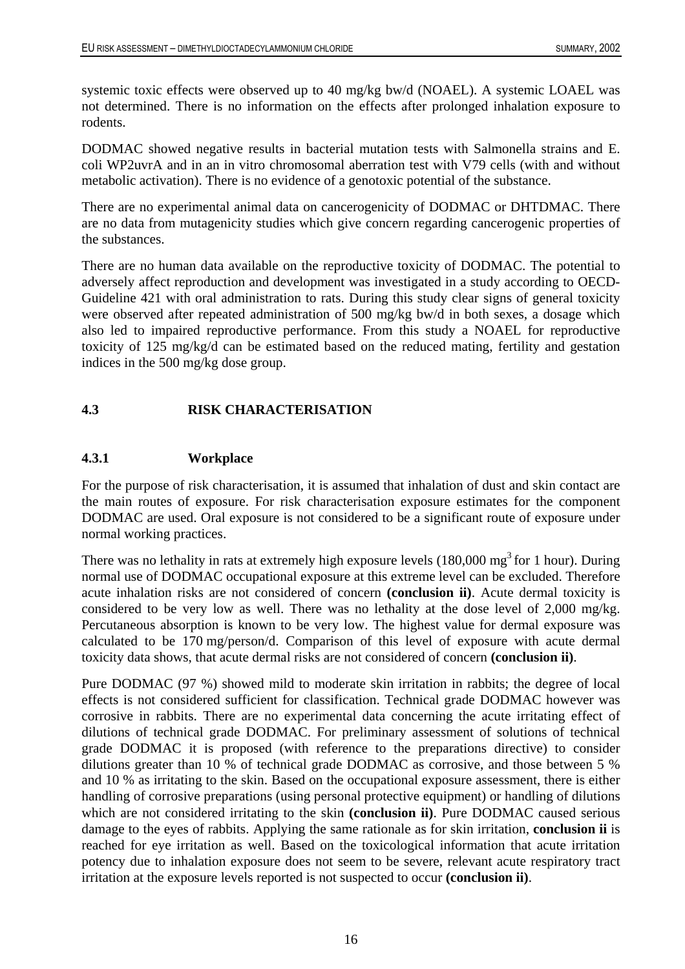systemic toxic effects were observed up to 40 mg/kg bw/d (NOAEL). A systemic LOAEL was not determined. There is no information on the effects after prolonged inhalation exposure to rodents.

DODMAC showed negative results in bacterial mutation tests with Salmonella strains and E. coli WP2uvrA and in an in vitro chromosomal aberration test with V79 cells (with and without metabolic activation). There is no evidence of a genotoxic potential of the substance.

There are no experimental animal data on cancerogenicity of DODMAC or DHTDMAC. There are no data from mutagenicity studies which give concern regarding cancerogenic properties of the substances.

There are no human data available on the reproductive toxicity of DODMAC. The potential to adversely affect reproduction and development was investigated in a study according to OECD-Guideline 421 with oral administration to rats. During this study clear signs of general toxicity were observed after repeated administration of 500 mg/kg bw/d in both sexes, a dosage which also led to impaired reproductive performance. From this study a NOAEL for reproductive toxicity of 125 mg/kg/d can be estimated based on the reduced mating, fertility and gestation indices in the 500 mg/kg dose group.

#### <span id="page-26-0"></span>**4.3 RISK CHARACTERISATION**

#### <span id="page-26-1"></span>**4.3.1 Workplace**

For the purpose of risk characterisation, it is assumed that inhalation of dust and skin contact are the main routes of exposure. For risk characterisation exposure estimates for the component DODMAC are used. Oral exposure is not considered to be a significant route of exposure under normal working practices.

There was no lethality in rats at extremely high exposure levels  $(180,000 \text{ mg}^3 \text{ for } 1 \text{ hour})$ . During normal use of DODMAC occupational exposure at this extreme level can be excluded. Therefore acute inhalation risks are not considered of concern **(conclusion ii)**. Acute dermal toxicity is considered to be very low as well. There was no lethality at the dose level of 2,000 mg/kg. Percutaneous absorption is known to be very low. The highest value for dermal exposure was calculated to be 170 mg/person/d. Comparison of this level of exposure with acute dermal toxicity data shows, that acute dermal risks are not considered of concern **(conclusion ii)**.

Pure DODMAC (97 %) showed mild to moderate skin irritation in rabbits; the degree of local effects is not considered sufficient for classification. Technical grade DODMAC however was corrosive in rabbits. There are no experimental data concerning the acute irritating effect of dilutions of technical grade DODMAC. For preliminary assessment of solutions of technical grade DODMAC it is proposed (with reference to the preparations directive) to consider dilutions greater than 10 % of technical grade DODMAC as corrosive, and those between 5 % and 10 % as irritating to the skin. Based on the occupational exposure assessment, there is either handling of corrosive preparations (using personal protective equipment) or handling of dilutions which are not considered irritating to the skin **(conclusion ii)**. Pure DODMAC caused serious damage to the eyes of rabbits. Applying the same rationale as for skin irritation, **conclusion ii** is reached for eye irritation as well. Based on the toxicological information that acute irritation potency due to inhalation exposure does not seem to be severe, relevant acute respiratory tract irritation at the exposure levels reported is not suspected to occur **(conclusion ii)**.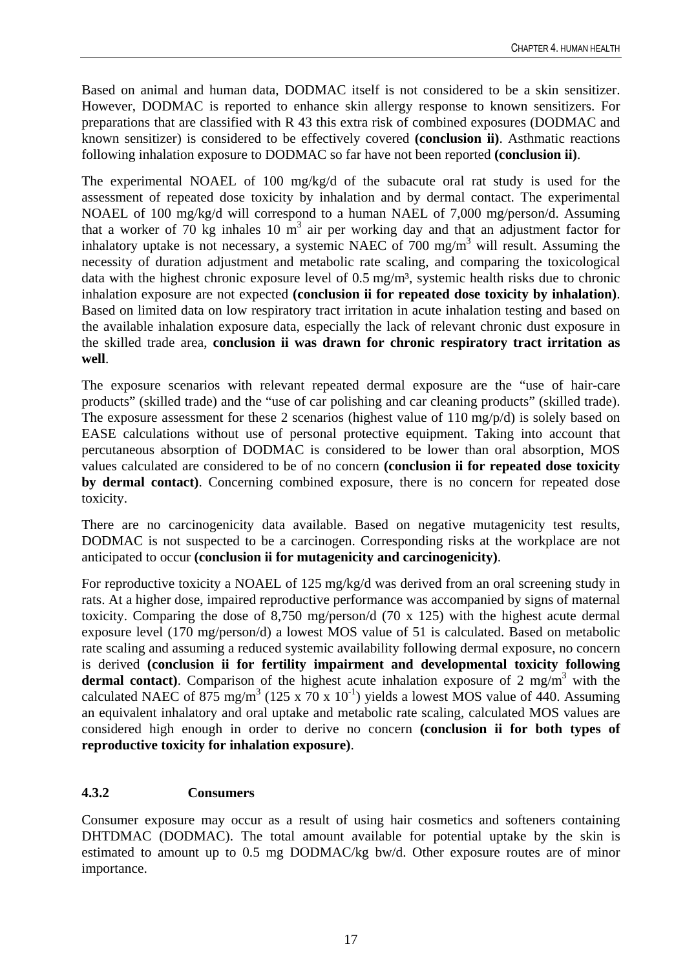Based on animal and human data, DODMAC itself is not considered to be a skin sensitizer. However, DODMAC is reported to enhance skin allergy response to known sensitizers. For preparations that are classified with R 43 this extra risk of combined exposures (DODMAC and known sensitizer) is considered to be effectively covered **(conclusion ii)**. Asthmatic reactions following inhalation exposure to DODMAC so far have not been reported **(conclusion ii)**.

The experimental NOAEL of 100 mg/kg/d of the subacute oral rat study is used for the assessment of repeated dose toxicity by inhalation and by dermal contact. The experimental NOAEL of 100 mg/kg/d will correspond to a human NAEL of 7,000 mg/person/d. Assuming that a worker of 70 kg inhales 10  $\text{m}^3$  air per working day and that an adjustment factor for inhalatory uptake is not necessary, a systemic NAEC of 700 mg/m<sup>3</sup> will result. Assuming the necessity of duration adjustment and metabolic rate scaling, and comparing the toxicological data with the highest chronic exposure level of 0.5 mg/m<sup>3</sup>, systemic health risks due to chronic inhalation exposure are not expected **(conclusion ii for repeated dose toxicity by inhalation)**. Based on limited data on low respiratory tract irritation in acute inhalation testing and based on the available inhalation exposure data, especially the lack of relevant chronic dust exposure in the skilled trade area, **conclusion ii was drawn for chronic respiratory tract irritation as well**.

The exposure scenarios with relevant repeated dermal exposure are the "use of hair-care products" (skilled trade) and the "use of car polishing and car cleaning products" (skilled trade). The exposure assessment for these 2 scenarios (highest value of 110 mg/p/d) is solely based on EASE calculations without use of personal protective equipment. Taking into account that percutaneous absorption of DODMAC is considered to be lower than oral absorption, MOS values calculated are considered to be of no concern **(conclusion ii for repeated dose toxicity by dermal contact)**. Concerning combined exposure, there is no concern for repeated dose toxicity.

There are no carcinogenicity data available. Based on negative mutagenicity test results, DODMAC is not suspected to be a carcinogen. Corresponding risks at the workplace are not anticipated to occur **(conclusion ii for mutagenicity and carcinogenicity)**.

For reproductive toxicity a NOAEL of 125 mg/kg/d was derived from an oral screening study in rats. At a higher dose, impaired reproductive performance was accompanied by signs of maternal toxicity. Comparing the dose of 8,750 mg/person/d (70 x 125) with the highest acute dermal exposure level (170 mg/person/d) a lowest MOS value of 51 is calculated. Based on metabolic rate scaling and assuming a reduced systemic availability following dermal exposure, no concern is derived **(conclusion ii for fertility impairment and developmental toxicity following dermal contact**). Comparison of the highest acute inhalation exposure of 2 mg/m<sup>3</sup> with the calculated NAEC of 875 mg/m<sup>3</sup> (125 x 70 x 10<sup>-1</sup>) yields a lowest MOS value of 440. Assuming an equivalent inhalatory and oral uptake and metabolic rate scaling, calculated MOS values are considered high enough in order to derive no concern **(conclusion ii for both types of reproductive toxicity for inhalation exposure)**.

#### <span id="page-27-0"></span>**4.3.2 Consumers**

Consumer exposure may occur as a result of using hair cosmetics and softeners containing DHTDMAC (DODMAC). The total amount available for potential uptake by the skin is estimated to amount up to 0.5 mg DODMAC/kg bw/d. Other exposure routes are of minor importance.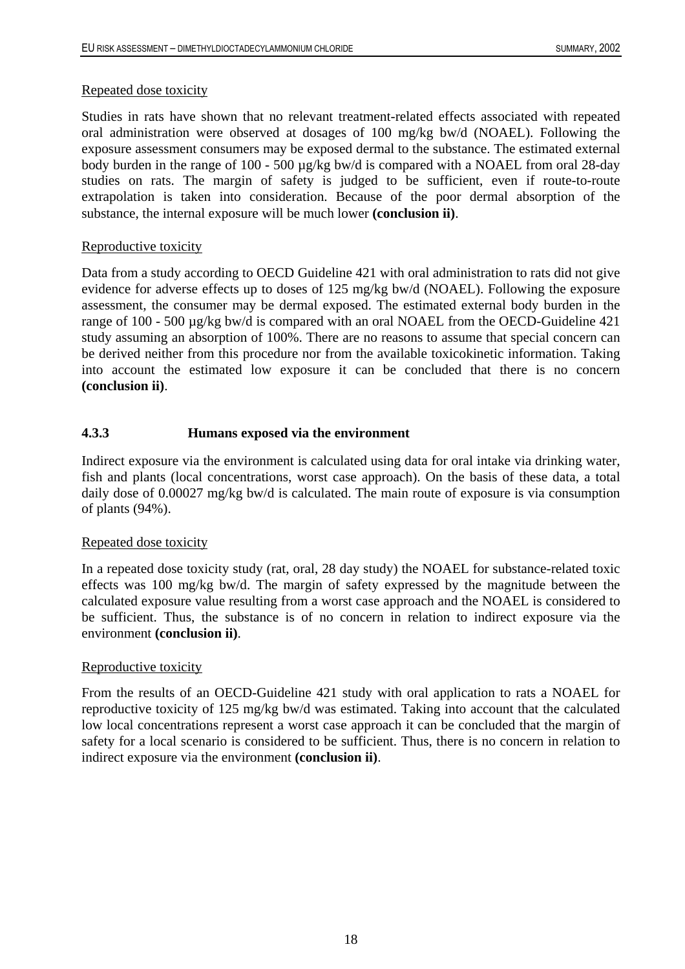#### Repeated dose toxicity

Studies in rats have shown that no relevant treatment-related effects associated with repeated oral administration were observed at dosages of 100 mg/kg bw/d (NOAEL). Following the exposure assessment consumers may be exposed dermal to the substance. The estimated external body burden in the range of 100 - 500 µg/kg bw/d is compared with a NOAEL from oral 28-day studies on rats. The margin of safety is judged to be sufficient, even if route-to-route extrapolation is taken into consideration. Because of the poor dermal absorption of the substance, the internal exposure will be much lower **(conclusion ii)**.

#### Reproductive toxicity

Data from a study according to OECD Guideline 421 with oral administration to rats did not give evidence for adverse effects up to doses of 125 mg/kg bw/d (NOAEL). Following the exposure assessment, the consumer may be dermal exposed. The estimated external body burden in the range of 100 - 500 µg/kg bw/d is compared with an oral NOAEL from the OECD-Guideline 421 study assuming an absorption of 100%. There are no reasons to assume that special concern can be derived neither from this procedure nor from the available toxicokinetic information. Taking into account the estimated low exposure it can be concluded that there is no concern **(conclusion ii)**.

### <span id="page-28-0"></span>**4.3.3 Humans exposed via the environment**

Indirect exposure via the environment is calculated using data for oral intake via drinking water, fish and plants (local concentrations, worst case approach). On the basis of these data, a total daily dose of 0.00027 mg/kg bw/d is calculated. The main route of exposure is via consumption of plants (94%).

#### Repeated dose toxicity

In a repeated dose toxicity study (rat, oral, 28 day study) the NOAEL for substance-related toxic effects was 100 mg/kg bw/d. The margin of safety expressed by the magnitude between the calculated exposure value resulting from a worst case approach and the NOAEL is considered to be sufficient. Thus, the substance is of no concern in relation to indirect exposure via the environment **(conclusion ii)**.

#### Reproductive toxicity

From the results of an OECD-Guideline 421 study with oral application to rats a NOAEL for reproductive toxicity of 125 mg/kg bw/d was estimated. Taking into account that the calculated low local concentrations represent a worst case approach it can be concluded that the margin of safety for a local scenario is considered to be sufficient. Thus, there is no concern in relation to indirect exposure via the environment **(conclusion ii)**.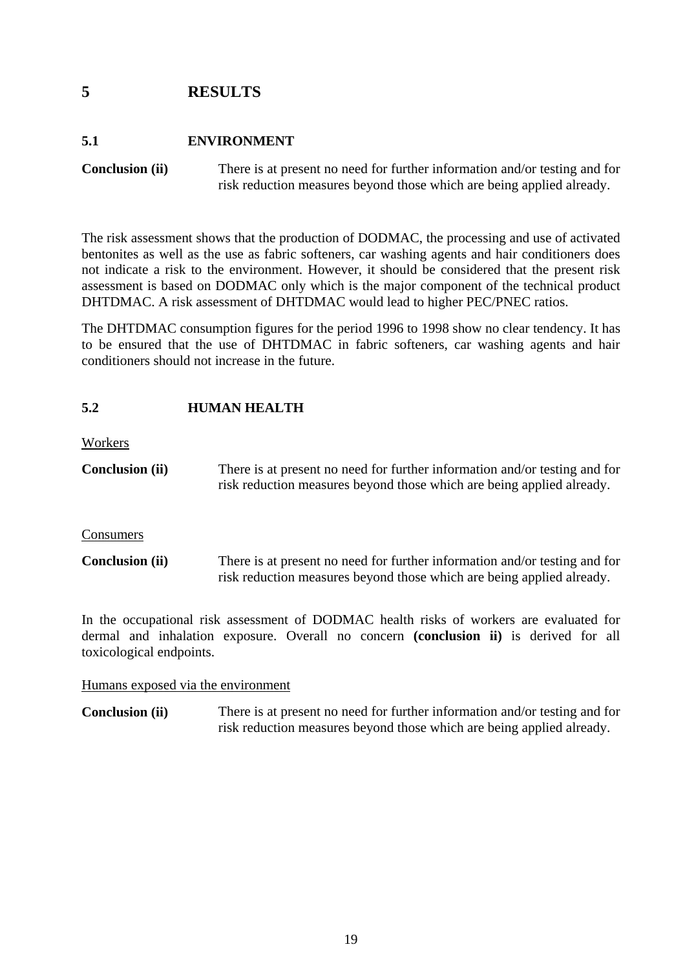### <span id="page-29-0"></span>**5 RESULTS**

### <span id="page-29-1"></span>**5.1 ENVIRONMENT**

**Conclusion (ii)** There is at present no need for further information and/or testing and for risk reduction measures beyond those which are being applied already.

The risk assessment shows that the production of DODMAC, the processing and use of activated bentonites as well as the use as fabric softeners, car washing agents and hair conditioners does not indicate a risk to the environment. However, it should be considered that the present risk assessment is based on DODMAC only which is the major component of the technical product DHTDMAC. A risk assessment of DHTDMAC would lead to higher PEC/PNEC ratios.

The DHTDMAC consumption figures for the period 1996 to 1998 show no clear tendency. It has to be ensured that the use of DHTDMAC in fabric softeners, car washing agents and hair conditioners should not increase in the future.

#### <span id="page-29-2"></span>**5.2 HUMAN HEALTH**

Workers

**Conclusion (ii)** There is at present no need for further information and/or testing and for risk reduction measures beyond those which are being applied already.

Consumers

**Conclusion (ii)** There is at present no need for further information and/or testing and for risk reduction measures beyond those which are being applied already.

In the occupational risk assessment of DODMAC health risks of workers are evaluated for dermal and inhalation exposure. Overall no concern **(conclusion ii)** is derived for all toxicological endpoints.

Humans exposed via the environment

**Conclusion (ii)** There is at present no need for further information and/or testing and for risk reduction measures beyond those which are being applied already.